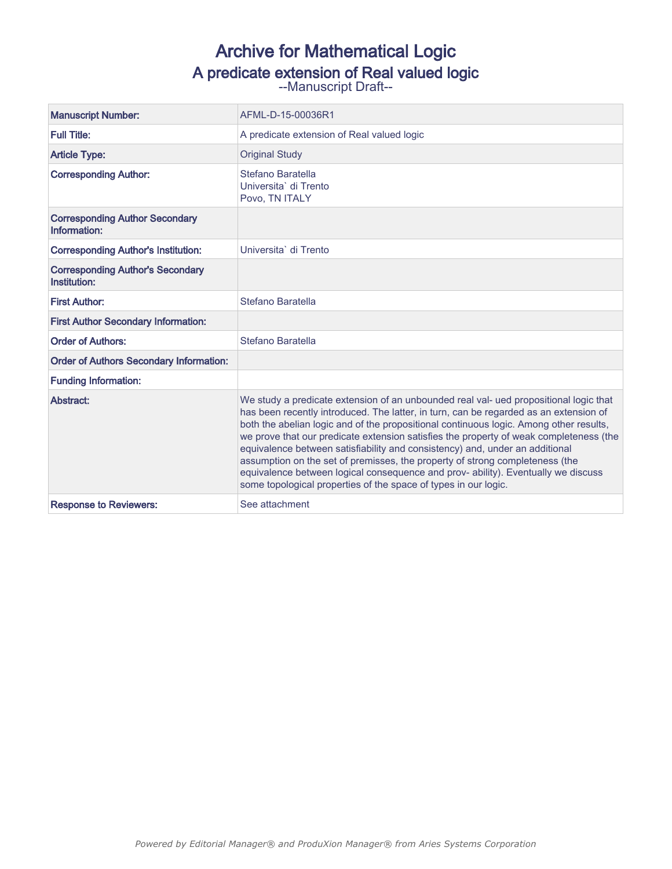# Archive for Mathematical Logic A predicate extension of Real valued logic<br>--Manuscript Draft--

| <b>Manuscript Number:</b>                               | AFML-D-15-00036R1                                                                                                                                                                                                                                                                                                                                                                                                                                                                                                                                                                                                                                                                          |  |
|---------------------------------------------------------|--------------------------------------------------------------------------------------------------------------------------------------------------------------------------------------------------------------------------------------------------------------------------------------------------------------------------------------------------------------------------------------------------------------------------------------------------------------------------------------------------------------------------------------------------------------------------------------------------------------------------------------------------------------------------------------------|--|
| <b>Full Title:</b>                                      | A predicate extension of Real valued logic                                                                                                                                                                                                                                                                                                                                                                                                                                                                                                                                                                                                                                                 |  |
| <b>Article Type:</b>                                    | <b>Original Study</b>                                                                                                                                                                                                                                                                                                                                                                                                                                                                                                                                                                                                                                                                      |  |
| <b>Corresponding Author:</b>                            | Stefano Baratella<br>Universita` di Trento<br>Povo. TN ITALY                                                                                                                                                                                                                                                                                                                                                                                                                                                                                                                                                                                                                               |  |
| <b>Corresponding Author Secondary</b><br>Information:   |                                                                                                                                                                                                                                                                                                                                                                                                                                                                                                                                                                                                                                                                                            |  |
| <b>Corresponding Author's Institution:</b>              | Universita` di Trento                                                                                                                                                                                                                                                                                                                                                                                                                                                                                                                                                                                                                                                                      |  |
| <b>Corresponding Author's Secondary</b><br>Institution: |                                                                                                                                                                                                                                                                                                                                                                                                                                                                                                                                                                                                                                                                                            |  |
| <b>First Author:</b>                                    | Stefano Baratella                                                                                                                                                                                                                                                                                                                                                                                                                                                                                                                                                                                                                                                                          |  |
| <b>First Author Secondary Information:</b>              |                                                                                                                                                                                                                                                                                                                                                                                                                                                                                                                                                                                                                                                                                            |  |
| <b>Order of Authors:</b>                                | Stefano Baratella                                                                                                                                                                                                                                                                                                                                                                                                                                                                                                                                                                                                                                                                          |  |
| <b>Order of Authors Secondary Information:</b>          |                                                                                                                                                                                                                                                                                                                                                                                                                                                                                                                                                                                                                                                                                            |  |
| <b>Funding Information:</b>                             |                                                                                                                                                                                                                                                                                                                                                                                                                                                                                                                                                                                                                                                                                            |  |
| Abstract:                                               | We study a predicate extension of an unbounded real val- ued propositional logic that<br>has been recently introduced. The latter, in turn, can be regarded as an extension of<br>both the abelian logic and of the propositional continuous logic. Among other results,<br>we prove that our predicate extension satisfies the property of weak completeness (the<br>equivalence between satisfiability and consistency) and, under an additional<br>assumption on the set of premisses, the property of strong completeness (the<br>equivalence between logical consequence and prov- ability). Eventually we discuss<br>some topological properties of the space of types in our logic. |  |
| <b>Response to Reviewers:</b>                           | See attachment                                                                                                                                                                                                                                                                                                                                                                                                                                                                                                                                                                                                                                                                             |  |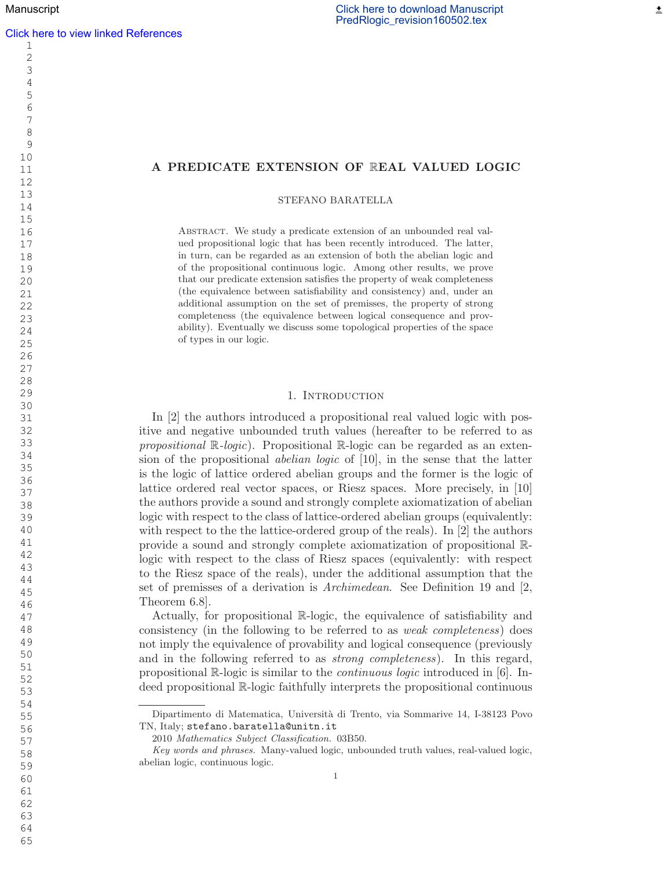## A PREDICATE EXTENSION OF REAL VALUED LOGIC

STEFANO BARATELLA

Abstract. We study a predicate extension of an unbounded real valued propositional logic that has been recently introduced. The latter, in turn, can be regarded as an extension of both the abelian logic and of the propositional continuous logic. Among other results, we prove that our predicate extension satisfies the property of weak completeness (the equivalence between satisfiability and consistency) and, under an additional assumption on the set of premisses, the property of strong completeness (the equivalence between logical consequence and provability). Eventually we discuss some topological properties of the space of types in our logic.

## 1. INTRODUCTION

In [2] the authors introduced a propositional real valued logic with positive and negative unbounded truth values (hereafter to be referred to as propositional  $\mathbb{R}$ -logic). Propositional  $\mathbb{R}$ -logic can be regarded as an extension of the propositional *abelian logic* of [10], in the sense that the latter is the logic of lattice ordered abelian groups and the former is the logic of lattice ordered real vector spaces, or Riesz spaces. More precisely, in [10] the authors provide a sound and strongly complete axiomatization of abelian logic with respect to the class of lattice-ordered abelian groups (equivalently: with respect to the the lattice-ordered group of the reals). In [2] the authors provide a sound and strongly complete axiomatization of propositional Rlogic with respect to the class of Riesz spaces (equivalently: with respect to the Riesz space of the reals), under the additional assumption that the set of premisses of a derivation is Archimedean. See Definition 19 and [2, Theorem 6.8].

Actually, for propositional R-logic, the equivalence of satisfiability and consistency (in the following to be referred to as weak completeness) does not imply the equivalence of provability and logical consequence (previously and in the following referred to as strong completeness). In this regard, propositional R-logic is similar to the continuous logic introduced in [6]. Indeed propositional R-logic faithfully interprets the propositional continuous

 

Dipartimento di Matematica, Universit`a di Trento, via Sommarive 14, I-38123 Povo TN, Italy; stefano.baratella@unitn.it

Mathematics Subject Classification. 03B50.

Key words and phrases. Many-valued logic, unbounded truth values, real-valued logic, abelian logic, continuous logic.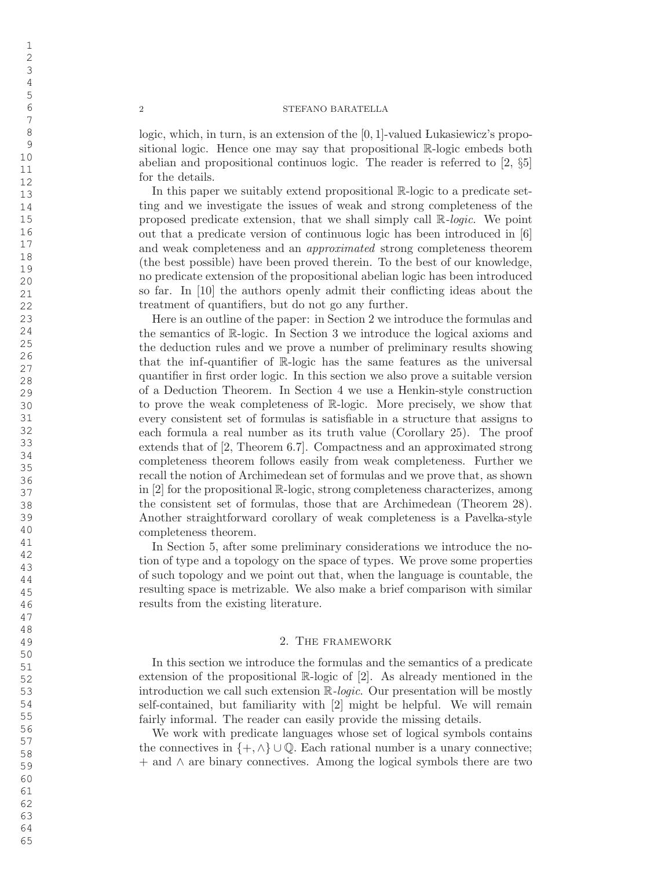logic, which, in turn, is an extension of the  $[0,1]$ -valued Lukasiewicz's propositional logic. Hence one may say that propositional R-logic embeds both abelian and propositional continuos logic. The reader is referred to [2, §5] for the details.

In this paper we suitably extend propositional R-logic to a predicate setting and we investigate the issues of weak and strong completeness of the proposed predicate extension, that we shall simply call  $\mathbb{R}$ -logic. We point out that a predicate version of continuous logic has been introduced in [6] and weak completeness and an approximated strong completeness theorem (the best possible) have been proved therein. To the best of our knowledge, no predicate extension of the propositional abelian logic has been introduced so far. In [10] the authors openly admit their conflicting ideas about the treatment of quantifiers, but do not go any further.

Here is an outline of the paper: in Section 2 we introduce the formulas and the semantics of R-logic. In Section 3 we introduce the logical axioms and the deduction rules and we prove a number of preliminary results showing that the inf-quantifier of R-logic has the same features as the universal quantifier in first order logic. In this section we also prove a suitable version of a Deduction Theorem. In Section 4 we use a Henkin-style construction to prove the weak completeness of R-logic. More precisely, we show that every consistent set of formulas is satisfiable in a structure that assigns to each formula a real number as its truth value (Corollary 25). The proof extends that of [2, Theorem 6.7]. Compactness and an approximated strong completeness theorem follows easily from weak completeness. Further we recall the notion of Archimedean set of formulas and we prove that, as shown in [2] for the propositional R-logic, strong completeness characterizes, among the consistent set of formulas, those that are Archimedean (Theorem 28). Another straightforward corollary of weak completeness is a Pavelka-style completeness theorem.

In Section 5, after some preliminary considerations we introduce the notion of type and a topology on the space of types. We prove some properties of such topology and we point out that, when the language is countable, the resulting space is metrizable. We also make a brief comparison with similar results from the existing literature.

## 2. The framework

In this section we introduce the formulas and the semantics of a predicate extension of the propositional R-logic of [2]. As already mentioned in the introduction we call such extension R-logic. Our presentation will be mostly self-contained, but familiarity with [2] might be helpful. We will remain fairly informal. The reader can easily provide the missing details.

We work with predicate languages whose set of logical symbols contains the connectives in  $\{+, \wedge\} \cup \mathbb{Q}$ . Each rational number is a unary connective; + and ∧ are binary connectives. Among the logical symbols there are two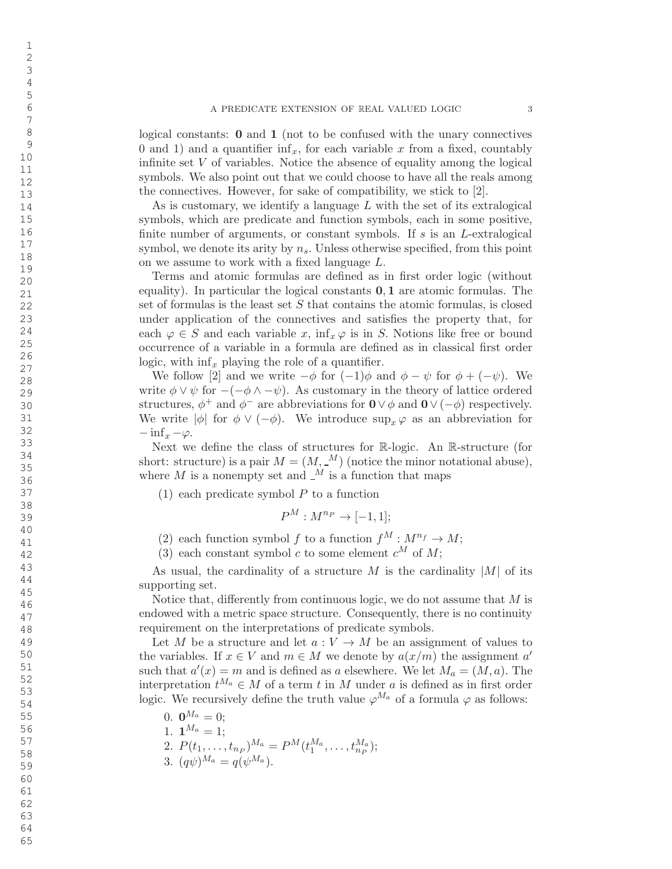logical constants: 0 and 1 (not to be confused with the unary connectives 0 and 1) and a quantifier  $\inf_x$ , for each variable x from a fixed, countably infinite set V of variables. Notice the absence of equality among the logical symbols. We also point out that we could choose to have all the reals among the connectives. However, for sake of compatibility, we stick to [2].

As is customary, we identify a language L with the set of its extralogical symbols, which are predicate and function symbols, each in some positive, finite number of arguments, or constant symbols. If  $s$  is an  $L$ -extralogical symbol, we denote its arity by  $n_s$ . Unless otherwise specified, from this point on we assume to work with a fixed language L.

Terms and atomic formulas are defined as in first order logic (without equality). In particular the logical constants  $0, 1$  are atomic formulas. The set of formulas is the least set S that contains the atomic formulas, is closed under application of the connectives and satisfies the property that, for each  $\varphi \in S$  and each variable x,  $\inf_x \varphi$  is in S. Notions like free or bound occurrence of a variable in a formula are defined as in classical first order logic, with  $\inf_x$  playing the role of a quantifier.

We follow [2] and we write  $-\phi$  for  $(-1)\phi$  and  $\phi - \psi$  for  $\phi + (-\psi)$ . We write  $\phi \vee \psi$  for  $-(-\phi \wedge -\psi)$ . As customary in the theory of lattice ordered structures,  $\phi^+$  and  $\phi^-$  are abbreviations for  $\mathbf{0} \vee \phi$  and  $\mathbf{0} \vee (-\phi)$  respectively. We write  $|\phi|$  for  $\phi \vee (-\phi)$ . We introduce  $\sup_x \varphi$  as an abbreviation for  $-\inf_x -\varphi.$ 

Next we define the class of structures for R-logic. An R-structure (for short: structure) is a pair  $M = (M, \square^M)$  (notice the minor notational abuse), where  $M$  is a nonempty set and  $\mathcal{N}$  is a function that maps

 $(1)$  each predicate symbol P to a function

$$
P^M: M^{n_P} \to [-1, 1];
$$

(2) each function symbol f to a function  $f^M: M^{n_f} \to M$ ;

(3) each constant symbol c to some element  $c^M$  of  $M$ ;

As usual, the cardinality of a structure M is the cardinality  $|M|$  of its supporting set.

Notice that, differently from continuous logic, we do not assume that M is endowed with a metric space structure. Consequently, there is no continuity requirement on the interpretations of predicate symbols.

Let M be a structure and let  $a: V \to M$  be an assignment of values to the variables. If  $x \in V$  and  $m \in M$  we denote by  $a(x/m)$  the assignment  $a'$ such that  $a'(x) = m$  and is defined as a elsewhere. We let  $M_a = (M, a)$ . The interpretation  $t^{M_a} \in M$  of a term t in M under a is defined as in first order logic. We recursively define the truth value  $\varphi^{M_a}$  of a formula  $\varphi$  as follows:

- 0.  $\mathbf{0}^{M_a}=0;$
- 1.  $\mathbf{1}^{M_a}=1;$
- 2.  $P(t_1, \ldots, t_{n_P})^{M_a} = P^M(t_1^{M_a}, \ldots, t_{n_P}^{M_a});$
- 3.  $(q\psi)^{M_a} = q(\psi^{M_a}).$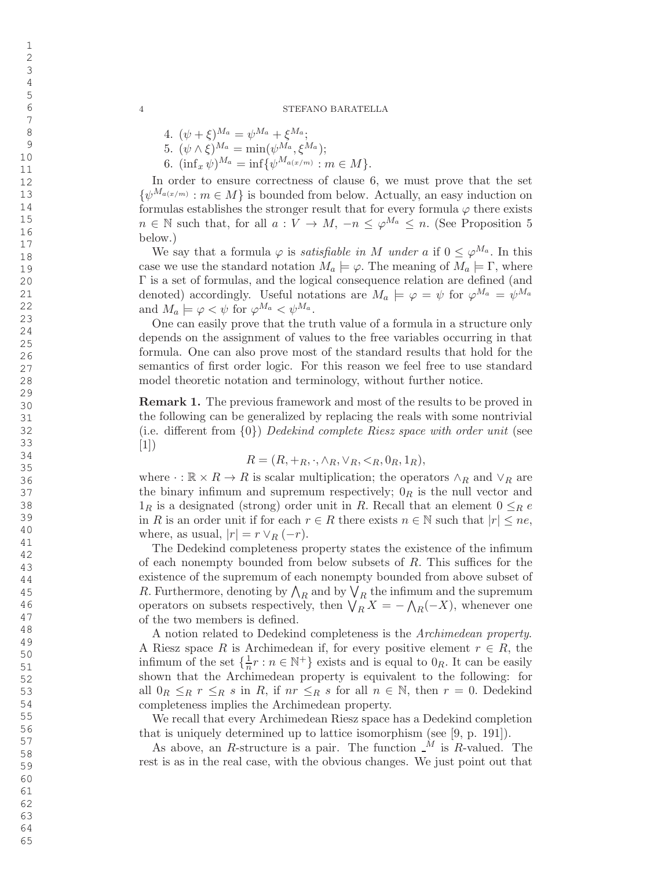- 4.  $(\psi + \xi)^{M_a} = \psi^{M_a} + \xi^{M_a};$
- 5.  $(\psi \wedge \xi)^{M_a} = \min(\psi^{M_a}, \xi^{M_a});$
- 6.  $(\inf_x \psi)^{M_a} = \inf \{ \psi^{M_{a(x/m)}} : m \in M \}.$

In order to ensure correctness of clause 6, we must prove that the set  $\{\psi^{M_{a(x/m)}} : m \in M\}$  is bounded from below. Actually, an easy induction on formulas establishes the stronger result that for every formula  $\varphi$  there exists  $n \in \mathbb{N}$  such that, for all  $a: V \to M$ ,  $-n \leq \varphi^{M_a} \leq n$ . (See Proposition 5 below.)

We say that a formula  $\varphi$  is *satisfiable in* M under a if  $0 \leq \varphi^{M_a}$ . In this case we use the standard notation  $M_a \models \varphi$ . The meaning of  $M_a \models \Gamma$ , where Γ is a set of formulas, and the logical consequence relation are defined (and denoted) accordingly. Useful notations are  $M_a \models \varphi = \psi$  for  $\varphi^{M_a} = \psi^{M_a}$ and  $M_a \models \varphi < \psi$  for  $\varphi^{M_a} < \psi^{M_a}$ .

One can easily prove that the truth value of a formula in a structure only depends on the assignment of values to the free variables occurring in that formula. One can also prove most of the standard results that hold for the semantics of first order logic. For this reason we feel free to use standard model theoretic notation and terminology, without further notice.

Remark 1. The previous framework and most of the results to be proved in the following can be generalized by replacing the reals with some nontrivial (i.e. di fferent from { 0 } ) Dedekind complete Riesz space with order unit (see [1])

$$
R = (R, +R, \cdot, \wedgeR, \veeR, R, 0R, 1R),
$$

where  $\cdot : \mathbb{R} \times R \to R$  is scalar multiplication; the operators  $\wedge_R$  and  $\vee_R$  are the binary infimum and supremum respectively;  $0_R$  is the null vector and  $1_R$  is a designated (strong) order unit in R. Recall that an element  $0 \leq_R e$ in R is an order unit if for each  $r \in R$  there exists  $n \in \mathbb{N}$  such that  $|r| \leq ne$ , where, as usual,  $|r| = r \vee_R (-r)$ .

The Dedekind completeness property states the existence of the infimum of each nonempty bounded from below subsets of R. This su ffices for the existence of the supremum of each nonempty bounded from above subset of R. Furthermore, denoting by  $\bigwedge_R$  and by  $\bigvee_R$  the infimum and the supremum operators on subsets respectively, then  $\bigvee_R X = -\bigwedge_R (-X)$ , whenever one of the two members is defined.

A notion related to Dedekind completeness is the Archimedean property . A Riesz space R is Archimedean if, for every positive element  $r \in R$ , the infimum of the set  $\{\frac{1}{n}\}$  $\frac{1}{n}r : n \in \mathbb{N}^+$  exists and is equal to  $0_R$ . It can be easily shown that the Archimedean property is equivalent to the following: for all  $0_R \leq_R r \leq_R s$  in R, if  $nr \leq_R s$  for all  $n \in \mathbb{N}$ , then  $r = 0$ . Dedekind completeness implies the Archimedean property.

We recall that every Archimedean Riesz space has a Dedekind completion that is uniquely determined up to lattice isomorphism (see [9, p. 191]).

As above, an R-structure is a pair. The function  $\mathcal{M}$  is R-valued. The rest is as in the real case, with the obvious changes. We just point out that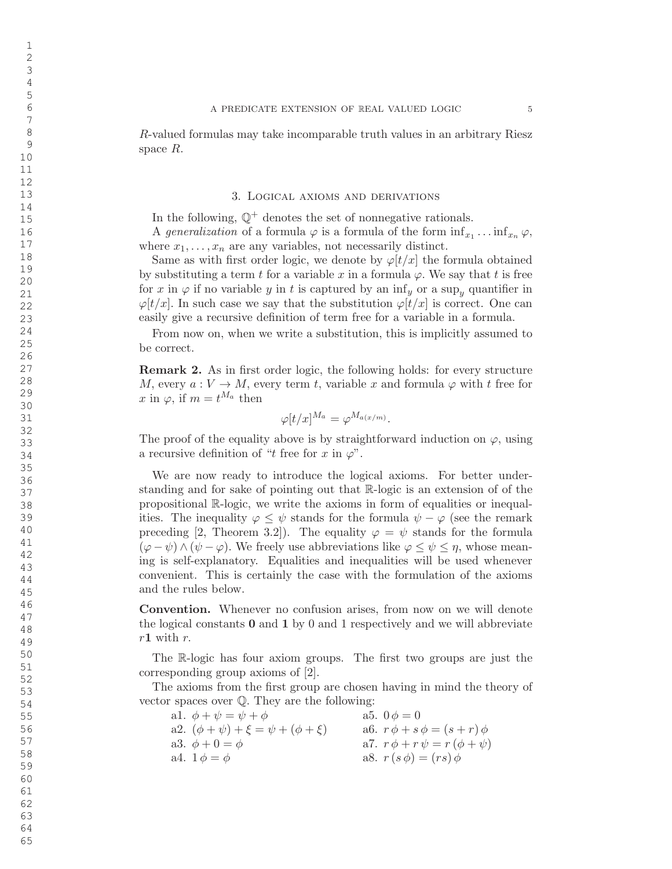R-valued formulas may take incomparable truth values in an arbitrary Riesz space R.

#### 3. Logical axioms and derivations

In the following,  $\mathbb{Q}^+$  denotes the set of nonnegative rationals.

A generalization of a formula  $\varphi$  is a formula of the form  $\inf_{x_1} \dots \inf_{x_n} \varphi$ , where  $x_1, \ldots, x_n$  are any variables, not necessarily distinct.

Same as with first order logic, we denote by  $\varphi[t/x]$  the formula obtained by substituting a term t for a variable x in a formula  $\varphi$ . We say that t is free for x in  $\varphi$  if no variable y in t is captured by an  $\inf_y$  or a sup<sub>y</sub> quantifier in  $\varphi[t/x]$ . In such case we say that the substitution  $\varphi[t/x]$  is correct. One can easily give a recursive definition of term free for a variable in a formula.

From now on, when we write a substitution, this is implicitly assumed to be correct.

Remark 2. As in first order logic, the following holds: for every structure M, every  $a: V \to M$ , every term t, variable x and formula  $\varphi$  with t free for x in  $\varphi$ , if  $m = t^{M_a}$  then

$$
\varphi[t/x]^{M_a} = \varphi^{M_{a(x/m)}}.
$$

The proof of the equality above is by straightforward induction on  $\varphi$ , using a recursive definition of "t free for  $x$  in  $\varphi$ ".

We are now ready to introduce the logical axioms. For better understanding and for sake of pointing out that R-logic is an extension of of the propositional R-logic, we write the axioms in form of equalities or inequalities. The inequality  $\varphi \leq \psi$  stands for the formula  $\psi - \varphi$  (see the remark preceding [2, Theorem 3.2]). The equality  $\varphi = \psi$  stands for the formula  $(\varphi - \psi) \wedge (\psi - \varphi)$ . We freely use abbreviations like  $\varphi \leq \psi \leq \eta$ , whose meaning is self-explanatory. Equalities and inequalities will be used whenever convenient. This is certainly the case with the formulation of the axioms and the rules below.

Convention. Whenever no confusion arises, from now on we will denote the logical constants **0** and **1** by 0 and 1 respectively and we will abbreviate  $r1$  with r.

The R-logic has four axiom groups. The first two groups are just the corresponding group axioms of [2].

The axioms from the first group are chosen having in mind the theory of vector spaces over Q . They are the following:

| al. $\phi + \psi = \psi + \phi$                 | a5. $0 \phi = 0$                        |
|-------------------------------------------------|-----------------------------------------|
| a2. $(\phi + \psi) + \xi = \psi + (\phi + \xi)$ | a6. $r \phi + s \phi = (s + r) \phi$    |
| a3. $\phi + 0 = \phi$                           | a7. $r \phi + r \psi = r (\phi + \psi)$ |
| a4. $1 \phi = \phi$                             | a8. $r(s \phi) = (rs) \phi$             |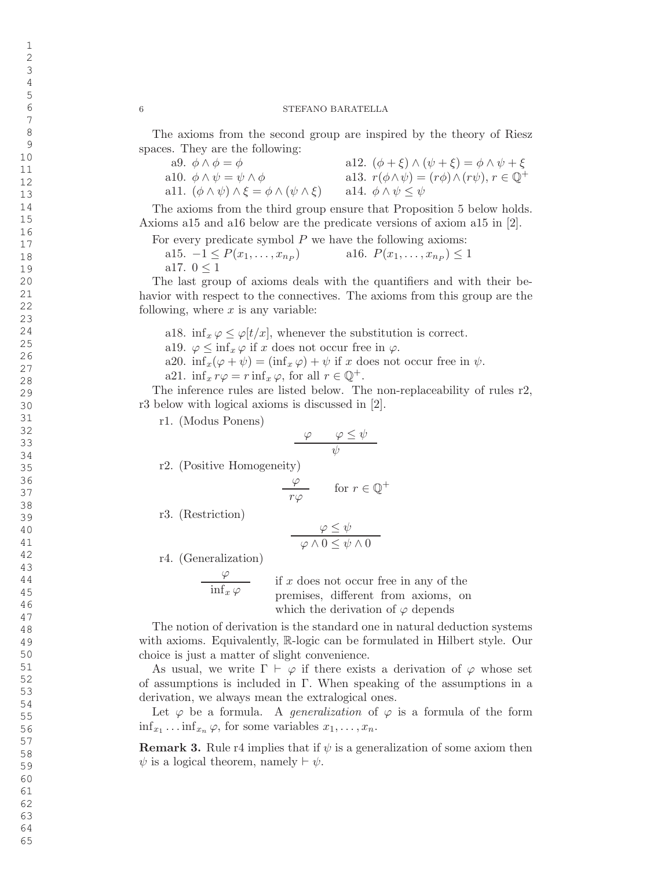The axioms from the second group are inspired by the theory of Riesz spaces. They are the following:

| a9. $\phi \wedge \phi = \phi$                                    | a12. $(\phi + \xi) \wedge (\psi + \xi) = \phi \wedge \psi + \xi$          |
|------------------------------------------------------------------|---------------------------------------------------------------------------|
| all. $\phi \wedge \psi = \psi \wedge \phi$                       | allard $r(\phi \wedge \psi) = (r\phi) \wedge (r\psi), r \in \mathbb{Q}^+$ |
| a11. $(\phi \land \psi) \land \xi = \phi \land (\psi \land \xi)$ | alt. $\phi \wedge \psi \leq \psi$                                         |

The axioms from the third group ensure that Proposition 5 below holds. Axioms a15 and a16 below are the predicate versions of axiom a15 in [2].

For every predicate symbol P we have the following axioms:

a15.  $-1 \le P(x_1, \ldots, x_{n_P})$  a16.  $P(x_1, \ldots, x_{n_P}) \le 1$ a17.  $0 \leq 1$ 

The last group of axioms deals with the quantifiers and with their behavior with respect to the connectives. The axioms from this group are the following, where  $x$  is any variable:

a18. inf<sub>x</sub> $\varphi \leq \varphi[t/x]$ , whenever the substitution is correct.

a19.  $\varphi \leq \inf_x \varphi$  if x does not occur free in  $\varphi$ .

a20.  $\inf_x(\varphi + \psi) = (\inf_x \varphi) + \psi$  if x does not occur free in  $\psi$ .

a21. 
$$
\inf_x r\varphi = r \inf_x \varphi
$$
, for all  $r \in \mathbb{Q}^+$ .

The inference rules are listed below. The non-replaceability of rules r2, r3 below with logical axioms is discussed in [2].

r1. (Modus Ponens)

$$
\frac{\varphi \qquad \varphi \leq \psi}{\psi}
$$

r2. (Positive Homogeneity)

$$
\frac{\varphi}{r\varphi} \qquad \text{for } r \in \mathbb{Q}^+
$$

r3. (Restriction)

$$
\frac{\varphi \leq \psi}{\varphi \land 0 \leq \psi \land 0}
$$

r4. (Generalization)

 $\varphi$  $\inf_{x} \varphi$ if x does not occur free in any of the premises, di fferent from axioms, on which the derivation of  $\varphi$  depends

The notion of derivation is the standard one in natural deduction systems with axioms. Equivalently, R-logic can be formulated in Hilbert style. Our choice is just a matter of slight convenience.

As usual, we write  $\Gamma \vdash \varphi$  if there exists a derivation of  $\varphi$  whose set of assumptions is included in Γ . When speaking of the assumptions in a derivation, we always mean the extralogical ones.

Let  $\varphi$  be a formula. A *generalization* of  $\varphi$  is a formula of the form  $\inf_{x_1} \dots \inf_{x_n} \varphi$ , for some variables  $x_1, \dots, x_n$ .

**Remark 3.** Rule r4 implies that if  $\psi$  is a generalization of some axiom then  $\psi$  is a logical theorem, namely  $\vdash \psi$ .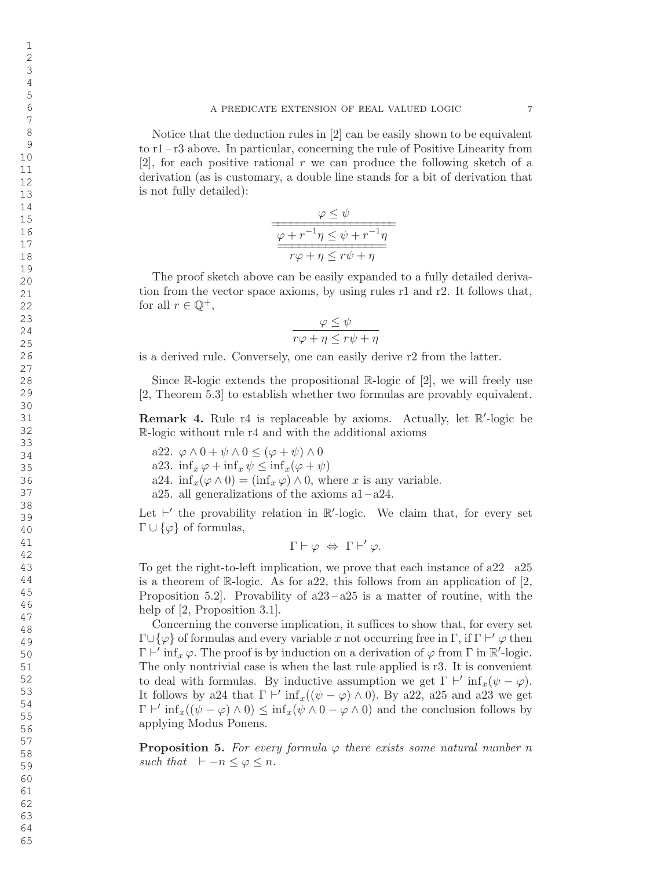Notice that the deduction rules in [2] can be easily shown to be equivalent to r1 – r3 above. In particular, concerning the rule of Positive Linearity from  $[2]$ , for each positive rational r we can produce the following sketch of a derivation (as is customary, a double line stands for a bit of derivation that is not fully detailed):

$$
\frac{\varphi \leq \psi}{\frac{\varphi + r^{-1}\eta \leq \psi + r^{-1}\eta}{r\varphi + \eta \leq r\psi + \eta}}
$$

The proof sketch above can be easily expanded to a fully detailed derivation from the vector space axioms, by using rules r1 and r2. It follows that, for all  $r \in \mathbb{Q}^+,$ 

$$
\frac{\varphi \leq \psi}{r\varphi + \eta \leq r\psi + \eta}
$$

is a derived rule. Conversely, one can easily derive r2 from the latter.

Since R-logic extends the propositional R-logic of [2], we will freely use [2, Theorem 5.3] to establish whether two formulas are provably equivalent.

**Remark 4.** Rule r4 is replaceable by axioms. Actually, let  $\mathbb{R}^7$ -logic be R-logic without rule r4 and with the additional axioms

a22.  $\varphi \wedge 0 + \psi \wedge 0 \leq (\varphi + \psi) \wedge 0$ a23.  $\inf_x \varphi + \inf_x \psi \leq \inf_x (\varphi + \psi)$ a24.  $\inf_x(\varphi \wedge 0) = (\inf_x \varphi) \wedge 0$ , where x is any variable. a25. all generalizations of the axioms  $a1 - a24$ .

Let  $\vdash'$  the provability relation in  $\mathbb{R}'$ -logic. We claim that, for every set  $\Gamma \cup \{\varphi\}$  of formulas,

$$
\Gamma \vdash \varphi \; \Leftrightarrow \; \Gamma \vdash' \varphi.
$$

To get the right-to-left implication, we prove that each instance of  $a22 - a25$ is a theorem of R-logic. As for a22, this follows from an application of [2, Proposition 5.2. Provability of  $a23 - a25$  is a matter of routine, with the help of [2, Proposition 3.1].

Concerning the converse implication, it su ffices to show that, for every set  $\Gamma \cup \{\varphi\}$  of formulas and every variable x not occurring free in  $\Gamma$ , if  $\Gamma \vdash' \varphi$  then  $\Gamma \vdash' \inf_{x} \varphi$ . The proof is by induction on a derivation of  $\varphi$  from  $\Gamma$  in  $\mathbb{R}'$ -logic. The only nontrivial case is when the last rule applied is r3. It is convenient to deal with formulas. By inductive assumption we get  $\Gamma \vdash' \inf_x (\psi - \varphi)$ . It follows by a24 that  $\Gamma \vdash' \inf_x((\psi - \varphi) \wedge 0)$ . By a22, a25 and a23 we get  $\Gamma \vdash' \inf_x((\psi - \varphi) \wedge 0) \leq \inf_x(\psi \wedge 0 - \varphi \wedge 0)$  and the conclusion follows by applying Modus Ponens.

**Proposition 5.** For every formula  $\varphi$  there exists some natural number n such that  $\vdash -n \leq \varphi \leq n$ .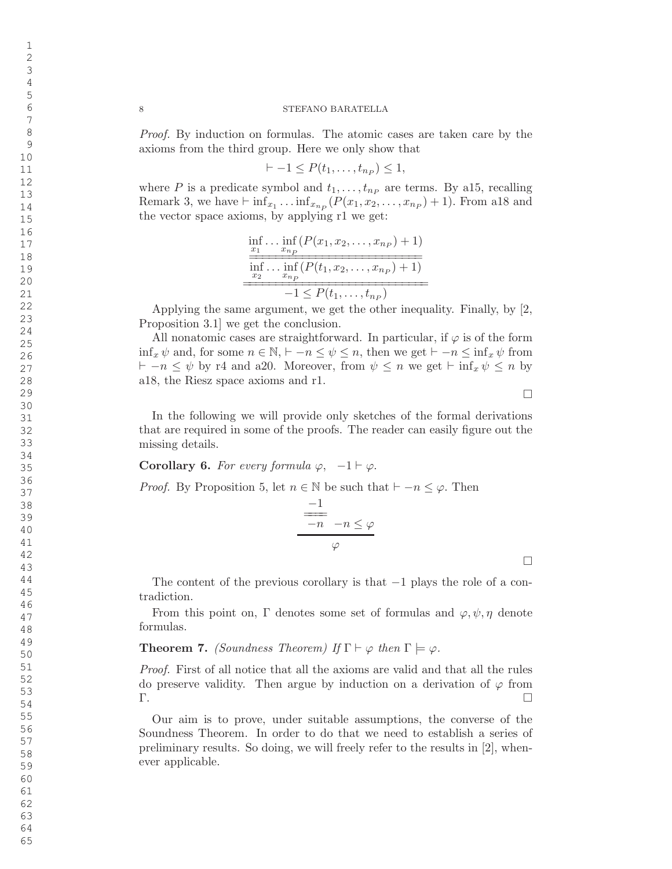Proof. By induction on formulas. The atomic cases are taken care by the axioms from the third group. Here we only show that

$$
-1 \le P(t_1,\ldots,t_{n_P}) \le 1,
$$

where P is a predicate symbol and  $t_1, \ldots, t_{n_P}$  are terms. By a15, recalling Remark 3, we have  $\vdash \inf_{x_1} \ldots \inf_{x_{n_p}} (P(x_1, x_2, \ldots, x_{n_p}) + 1)$ . From a18 and the vector space axioms, by applying r1 we get:

$$
\frac{\inf_{x_1} \dots \inf_{x_{n_P}} (P(x_1, x_2, \dots, x_{n_P}) + 1)}{\inf_{x_2} \dots \inf_{x_{n_P}} (P(t_1, x_2, \dots, x_{n_P}) + 1)} -1 \leq P(t_1, \dots, t_{n_P})}
$$

Applying the same argument, we get the other inequality. Finally, by [2, Proposition 3.1] we get the conclusion.

All nonatomic cases are straightforward. In particular, if  $\varphi$  is of the form  $\inf_x \psi$  and, for some  $n \in \mathbb{N}$ ,  $\vdash -n \leq \psi \leq n$ , then we get  $\vdash -n \leq \inf_x \psi$  from  $\vdash -n \leq \psi$  by r4 and a20. Moreover, from  $\psi \leq n$  we get  $\vdash \inf_{x} \psi \leq n$  by a18, the Riesz space axioms and r1.

 $\Box$ 

 $\Box$ 

In the following we will provide only sketches of the formal derivations that are required in some of the proofs. The reader can easily figure out the missing details.

Corollary 6. For every formula  $\varphi$ ,  $-1 \vdash \varphi$ .

*Proof.* By Proposition 5, let  $n \in \mathbb{N}$  be such that  $\vdash -n \leq \varphi$ . Then

$$
\frac{-1}{-n} - n \leq \varphi
$$
  

$$
\varphi
$$

The content of the previous corollary is that −1 plays the role of a contradiction.

From this point on,  $\Gamma$  denotes some set of formulas and  $\varphi, \psi, \eta$  denote formulas.

# **Theorem 7.** (Soundness Theorem) If  $\Gamma \vdash \varphi$  then  $\Gamma \models \varphi$ .

Proof. First of all notice that all the axioms are valid and that all the rules do preserve validity. Then argue by induction on a derivation of  $\varphi$  from Γ .  $\Box$ 

Our aim is to prove, under suitable assumptions, the converse of the Soundness Theorem. In order to do that we need to establish a series of preliminary results. So doing, we will freely refer to the results in [2], whenever applicable.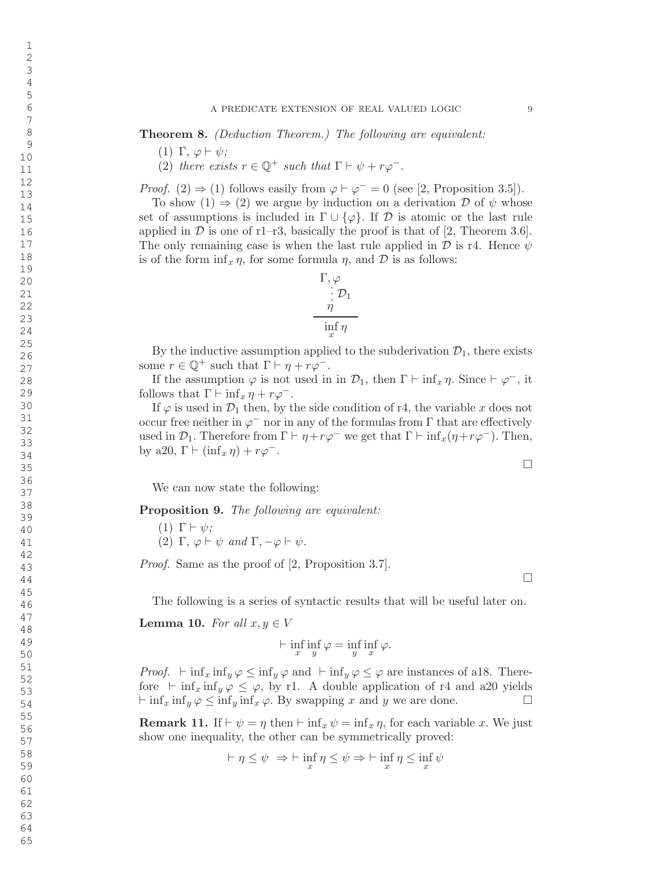Theorem 8. (Deduction Theorem.) The following are equivalent:

- (1)  $\Gamma, \varphi \vdash \psi;$
- (2) there exists  $r \in \mathbb{Q}^+$  such that  $\Gamma \vdash \psi + r\varphi^-$ .

*Proof.* (2)  $\Rightarrow$  (1) follows easily from  $\varphi \vdash \varphi^- = 0$  (see [2, Proposition 3.5]).

To show  $(1) \Rightarrow (2)$  we argue by induction on a derivation D of  $\psi$  whose set of assumptions is included in  $\Gamma \cup \{\varphi\}$ . If  $\mathcal D$  is atomic or the last rule applied in  $D$  is one of r1-r3, basically the proof is that of [2, Theorem 3.6]. The only remaining case is when the last rule applied in  $\mathcal D$  is r4. Hence  $\psi$ is of the form  $\inf_x \eta$ , for some formula  $\eta$ , and  $\mathcal D$  is as follows:

$$
\Gamma, \varphi \n\vdots \mathcal{D}_1 \n\eta \n\inf_x \eta
$$

By the inductive assumption applied to the subderivation  $\mathcal{D}_1$ , there exists some  $r \in \mathbb{Q}^+$  such that  $\Gamma \vdash \eta + r\varphi^-$ .

If the assumption  $\varphi$  is not used in in  $\mathcal{D}_1$ , then  $\Gamma \vdash \inf_x \eta$ . Since  $\vdash \varphi^-$ , it follows that  $\Gamma \vdash \inf_x \eta + r\varphi^-$ .

If  $\varphi$  is used in  $\mathcal{D}_1$  then, by the side condition of r4, the variable x does not occur free neither in  $\varphi^-$  nor in any of the formulas from  $\Gamma$  that are effectively used in  $\mathcal{D}_1$ . Therefore from  $\Gamma \vdash \eta + r\varphi^-$  we get that  $\Gamma \vdash \inf_x(\eta + r\varphi^-)$ . Then, by a20,  $\Gamma \vdash (\inf_x \eta) + r\varphi^-$ .

We can now state the following:

Proposition 9. The following are equivalent:

(1)  $\Gamma \vdash \psi$ ; (2)  $\Gamma$ ,  $\varphi \vdash \psi$  and  $\Gamma$ ,  $-\varphi \vdash \psi$ .

Proof. Same as the proof of [2, Proposition 3.7].

The following is a series of syntactic results that will be useful later on.

**Lemma 10.** For all  $x, y \in V$ 

$$
\vdash \inf_{x} \inf_{y} \varphi = \inf_{y} \inf_{x} \varphi.
$$

*Proof.*  $\vdash \inf_x \inf_y \varphi \leq \inf_y \varphi$  and  $\vdash \inf_y \varphi \leq \varphi$  are instances of a18. Therefore  $\vdash \inf_x \inf_y \varphi \leq \varphi$ , by r1. A double application of r4 and a20 yields  $\vdash \inf_x \inf_y \varphi \leq \inf_y \inf_x \varphi$ . By swapping x and y we are done.  $\Box$ 

**Remark 11.** If  $\vdash \psi = \eta$  then  $\vdash \inf_x \psi = \inf_x \eta$ , for each variable x. We just show one inequality, the other can be symmetrically proved:

$$
\vdash \eta \le \psi \ \Rightarrow \vdash \inf_{x} \eta \le \psi \Rightarrow \vdash \inf_{x} \eta \le \inf_{x} \psi
$$

65

 $\Box$ 

 $\Box$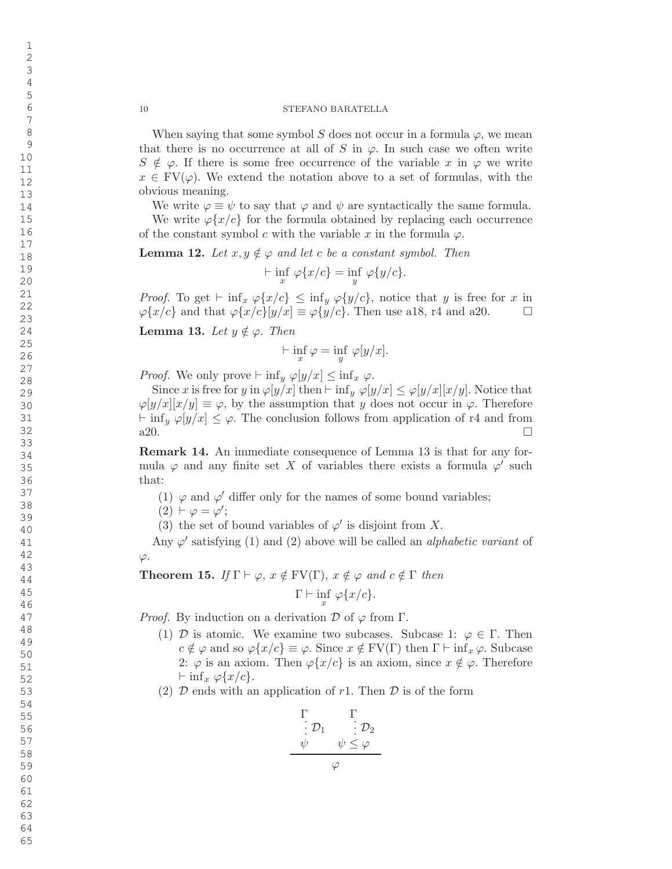When saying that some symbol S does not occur in a formula  $\varphi$ , we mean that there is no occurrence at all of S in  $\varphi$ . In such case we often write  $S \notin \varphi$ . If there is some free occurrence of the variable x in  $\varphi$  we write  $x \in \mathrm{FV}(\varphi)$ . We extend the notation above to a set of formulas, with the obvious meaning.

We write  $\varphi \equiv \psi$  to say that  $\varphi$  and  $\psi$  are syntactically the same formula.

We write  $\varphi\{x/c\}$  for the formula obtained by replacing each occurrence of the constant symbol c with the variable x in the formula  $\varphi$ .

**Lemma 12.** Let  $x, y \notin \varphi$  and let c be a constant symbol. Then

$$
\vdash \inf_{x} \varphi\{x/c\} = \inf_{y} \varphi\{y/c\}.
$$

*Proof.* To get  $\vdash \inf_x \varphi\{x/c\} \leq \inf_y \varphi\{y/c\}$ , notice that y is free for x in  $\varphi\{x/c\}$  and that  $\varphi\{x/c\}[y/x] \equiv \varphi\{y/c\}$ . Then use a18, r4 and a20.  $\Box$ 

**Lemma 13.** Let  $y \notin \varphi$ . Then

$$
\vdash \inf_{x} \varphi = \inf_{y} \varphi[y/x].
$$

*Proof.* We only prove  $\vdash \inf_y \varphi[y/x] \leq \inf_x \varphi$ .

Since x is free for y in  $\varphi[y/x]$  then  $\vdash$  inf<sub>y</sub>  $\varphi[y/x] \leq \varphi[y/x][x/y]$ . Notice that  $\varphi[y/x][x/y] \equiv \varphi$ , by the assumption that y does not occur in  $\varphi$ . Therefore  $\vdash \inf_y \varphi[y/x] \leq \varphi$ . The conclusion follows from application of r4 and from a20.  $\Box$ 

Remark 14. An immediate consequence of Lemma 13 is that for any formula  $\varphi$  and any finite set X of variables there exists a formula  $\varphi'$  such that:

- (1)  $\varphi$  and  $\varphi'$  differ only for the names of some bound variables;
- $(2) \vdash \varphi = \varphi';$
- (3) the set of bound variables of  $\varphi'$  is disjoint from X.

Any  $\varphi'$  satisfying (1) and (2) above will be called an *alphabetic variant* of  $\varphi$ .

**Theorem 15.** If  $\Gamma \vdash \varphi$ ,  $x \notin FV(\Gamma)$ ,  $x \notin \varphi$  and  $c \notin \Gamma$  then  $\Gamma \vdash \inf_{x} \varphi\{x/c\}.$ 

*Proof.* By induction on a derivation  $\mathcal{D}$  of  $\varphi$  from  $\Gamma$ .

- (1)  $\mathcal{D}$  is atomic. We examine two subcases. Subcase 1:  $\varphi \in \Gamma$ . Then  $c \notin \varphi$  and so  $\varphi\{x/c\} \equiv \varphi$ . Since  $x \notin \text{FV}(\Gamma)$  then  $\Gamma \vdash \inf_x \varphi$ . Subcase 2:  $\varphi$  is an axiom. Then  $\varphi\{x/c\}$  is an axiom, since  $x \notin \varphi$ . Therefore  $\vdash \inf_x \varphi\{x/c\}.$
- (2)  $\mathcal D$  ends with an application of r1. Then  $\mathcal D$  is of the form

$$
\begin{array}{ccc}\n\Gamma & \Gamma \\
\vdots \mathcal{D}_1 & \vdots \mathcal{D}_2 \\
\psi & \psi \leq \varphi\n\end{array}
$$

 $\varphi$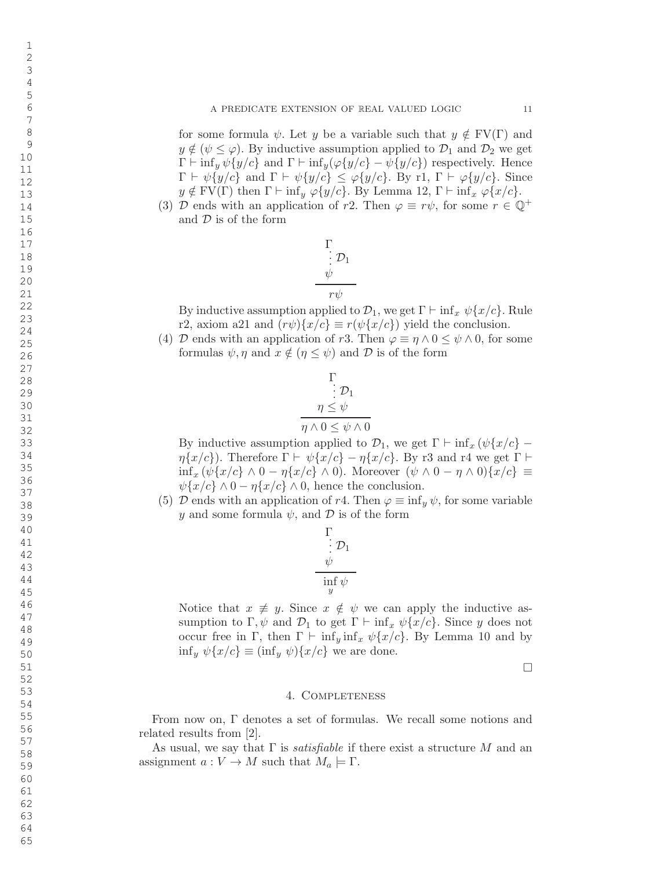for some formula  $\psi$ . Let y be a variable such that  $y \notin FV(\Gamma)$  and  $y \notin (\psi \leq \varphi)$ . By inductive assumption applied to  $\mathcal{D}_1$  and  $\mathcal{D}_2$  we get  $\Gamma \vdash \inf_y \psi \{y/c\}$  and  $\Gamma \vdash \inf_y (\varphi \{y/c\} - \psi \{y/c\})$  respectively. Hence  $\Gamma \vdash \psi\{y/c\}$  and  $\Gamma \vdash \psi\{y/c\} \leq \varphi\{y/c\}$ . By r1,  $\Gamma \vdash \varphi\{y/c\}$ . Since  $y \notin FV(\Gamma)$  then  $\Gamma \vdash \inf_y \varphi\{y/c\}$ . By Lemma 12,  $\Gamma \vdash \inf_x \varphi\{x/c\}$ .

(3)  $\mathcal D$  ends with an application of r2. Then  $\varphi \equiv r\psi$ , for some  $r \in \mathbb{Q}^+$ and D is of the form



By inductive assumption applied to  $\mathcal{D}_1$ , we get  $\Gamma \vdash \inf_x \psi\{x/c\}$ . Rule r2, axiom a21 and  $(r\psi){x/c} \equiv r(\psi{x/c})$  yield the conclusion.

(4) D ends with an application of r3. Then  $\varphi \equiv \eta \wedge 0 \leq \psi \wedge 0$ , for some formulas  $\psi, \eta$  and  $x \notin (\eta \leq \psi)$  and  $\mathcal{D}$  is of the form

$$
\Gamma
$$
\n
$$
\vdots \mathcal{D}_1
$$
\n
$$
\eta \leq \psi
$$
\n
$$
\eta \wedge 0 \leq \psi \wedge 0
$$

By inductive assumption applied to  $\mathcal{D}_1$ , we get  $\Gamma \vdash \inf_x (\psi\{x/c\} \eta\{x/c\}$ ). Therefore  $\Gamma \vdash \psi\{x/c\} - \eta\{x/c\}$ . By r3 and r4 we get  $\Gamma \vdash$  $\inf_x (\psi\{x/c\} \wedge 0 - \eta\{x/c\} \wedge 0).$  Moreover  $(\psi \wedge 0 - \eta \wedge 0)\{x/c\} \equiv$  $\psi\{x/c\} \wedge 0 - \eta\{x/c\} \wedge 0$ , hence the conclusion.

(5)  $\mathcal D$  ends with an application of r4. Then  $\varphi \equiv \inf_y \psi$ , for some variable y and some formula  $\psi$ , and  $\mathcal D$  is of the form

$$
\begin{array}{c}\Gamma \\ \vdots \\ \psi \\ \hline \inf_y \psi \end{array}
$$

Notice that  $x \neq y$ . Since  $x \notin \psi$  we can apply the inductive assumption to  $\Gamma$ ,  $\psi$  and  $\mathcal{D}_1$  to get  $\Gamma \vdash \inf_x \psi\{x/c\}$ . Since y does not occur free in  $\Gamma$ , then  $\Gamma \vdash \inf_y \inf_x \psi\{x/c\}$ . By Lemma 10 and by  $\inf_y \psi\{x/c\} \equiv (\inf_y \psi)\{x/c\}$  we are done.

 $\Box$ 

## 4. Completeness

From now on, Γ denotes a set of formulas. We recall some notions and related results from [2].

As usual, we say that  $\Gamma$  is *satisfiable* if there exist a structure M and an assignment  $a: V \to M$  such that  $M_a \models \Gamma$ .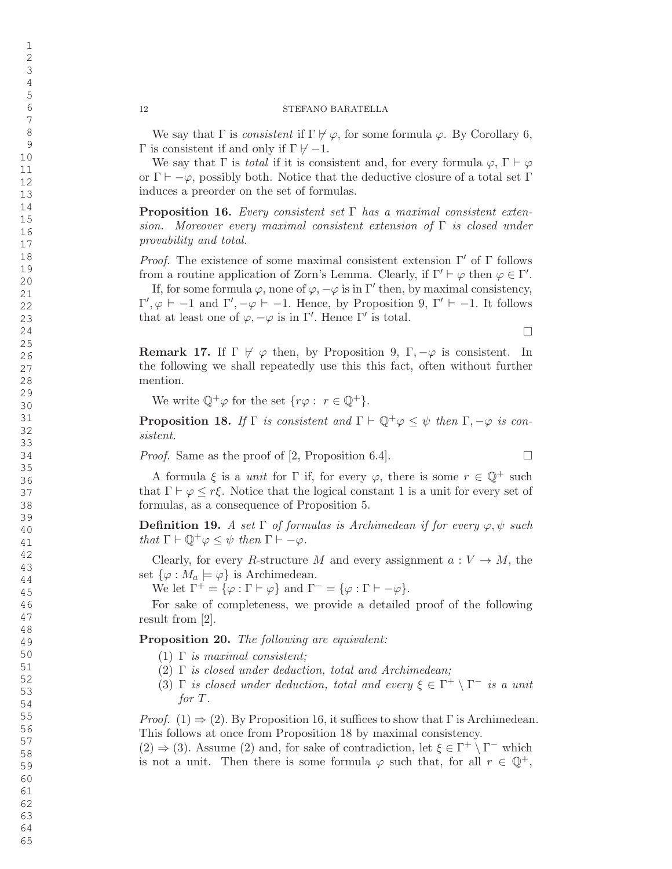We say that  $\Gamma$  is *consistent* if  $\Gamma \not\vdash \varphi$ , for some formula  $\varphi$ . By Corollary 6,  $\Gamma$  is consistent if and only if  $\Gamma \not\vdash -1$ .

We say that  $\Gamma$  is *total* if it is consistent and, for every formula  $\varphi$ ,  $\Gamma \vdash \varphi$ or  $\Gamma \vdash -\varphi$ , possibly both. Notice that the deductive closure of a total set  $\Gamma$ induces a preorder on the set of formulas.

**Proposition 16.** Every consistent set  $\Gamma$  has a maximal consistent extension. Moreover every maximal consistent extension of  $\Gamma$  is closed under provability and total.

Proof. The existence of some maximal consistent extension  $\Gamma'$  of  $\Gamma$  follows from a routine application of Zorn's Lemma. Clearly, if  $\Gamma' \vdash \varphi$  then  $\varphi \in \Gamma'$ .

If, for some formula  $\varphi$ , none of  $\varphi$ ,  $-\varphi$  is in  $\Gamma'$  then, by maximal consistency,  $Γ', φ ⊢ -1$  and  $Γ', -φ ⊢ -1$ . Hence, by Proposition 9, Γ'  $⊢ -1$ . It follows that at least one of  $\varphi, -\varphi$  is in  $\Gamma'$ . Hence  $\Gamma'$  is total.

**Remark 17.** If  $\Gamma \not\vdash \varphi$  then, by Proposition 9,  $\Gamma, -\varphi$  is consistent. In the following we shall repeatedly use this this fact, often without further mention.

We write  $\mathbb{Q}^+\varphi$  for the set  $\{r\varphi: r \in \mathbb{Q}^+\}.$ 

**Proposition 18.** If  $\Gamma$  is consistent and  $\Gamma \vdash \mathbb{Q}^+ \varphi \leq \psi$  then  $\Gamma, -\varphi$  is consistent.

Proof. Same as the proof of [2, Proposition 6.4].

A formula  $\xi$  is a *unit* for  $\Gamma$  if, for every  $\varphi$ , there is some  $r \in \mathbb{Q}^+$  such that  $\Gamma \vdash \varphi \leq r \xi$ . Notice that the logical constant 1 is a unit for every set of formulas, as a consequence of Proposition 5.

**Definition 19.** A set  $\Gamma$  of formulas is Archimedean if for every  $\varphi, \psi$  such that  $\Gamma \vdash \mathbb{Q}^+ \varphi \leq \psi$  then  $\Gamma \vdash -\varphi$ .

Clearly, for every R-structure M and every assignment  $a: V \to M$ , the set  $\{\varphi : M_a \models \varphi\}$  is Archimedean.

We let  $\Gamma^+ = {\varphi : \Gamma \vdash \varphi}$  and  $\Gamma^- = {\varphi : \Gamma \vdash -\varphi}.$ 

For sake of completeness, we provide a detailed proof of the following result from [2].

Proposition 20. The following are equivalent:

- (1)  $\Gamma$  is maximal consistent;
- (2) Γ is closed under deduction, total and Archimedean;
- (3)  $\Gamma$  is closed under deduction, total and every  $\xi \in \Gamma^+ \setminus \Gamma^-$  is a unit for T .

*Proof.* (1)  $\Rightarrow$  (2). By Proposition 16, it suffices to show that  $\Gamma$  is Archimedean. This follows at once from Proposition 18 by maximal consistency.

 $(2) \Rightarrow (3)$ . Assume  $(2)$  and, for sake of contradiction, let  $\xi \in \Gamma^+ \setminus \Gamma^-$  which is not a unit. Then there is some formula  $\varphi$  such that, for all  $r \in \mathbb{Q}^+$ ,

 $\Box$ 

 $\Box$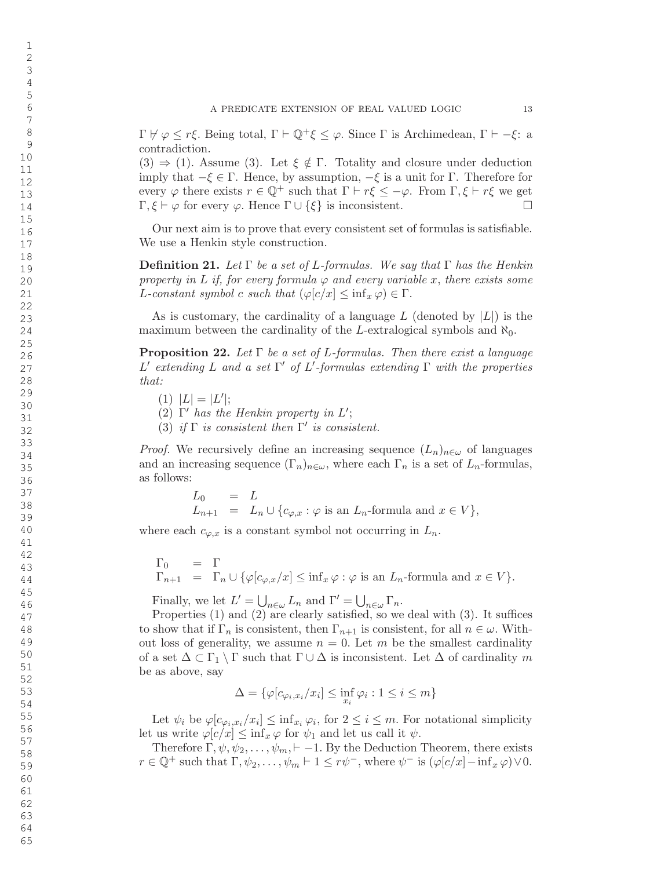$\Gamma \not\vdash \varphi \leq r\xi$ . Being total,  $\Gamma \vdash \mathbb{Q}^+\xi \leq \varphi$ . Since  $\Gamma$  is Archimedean,  $\Gamma \vdash -\xi$ : a contradiction.

 $(3) \Rightarrow (1)$ . Assume  $(3)$ . Let  $\xi \notin \Gamma$ . Totality and closure under deduction imply that  $-\xi \in \Gamma$ . Hence, by assumption,  $-\xi$  is a unit for  $\Gamma$ . Therefore for every  $\varphi$  there exists  $r \in \mathbb{Q}^+$  such that  $\Gamma \vdash r\xi \leq -\varphi$ . From  $\Gamma, \xi \vdash r\xi$  we get  $Γ, ξ ⊢ φ$  for every  $φ$ . Hence  $Γ ∪ \{\xi\}$  is inconsistent.  $\Box$ 

Our next aim is to prove that every consistent set of formulas is satisfiable. We use a Henkin style construction.

**Definition 21.** Let  $\Gamma$  be a set of L-formulas. We say that  $\Gamma$  has the Henkin property in L if, for every formula  $\varphi$  and every variable x, there exists some L-constant symbol c such that  $(\varphi[c/x] \leq \inf_x \varphi) \in \Gamma$ .

As is customary, the cardinality of a language  $L$  (denoted by  $|L|$ ) is the maximum between the cardinality of the L-extralogical symbols and  $\aleph_0$ .

**Proposition 22.** Let  $\Gamma$  be a set of L-formulas. Then there exist a language L' extending L and a set Γ' of L'-formulas extending Γ with the properties that:

- (1)  $|L| = |L'|;$
- (2)  $\Gamma'$  has the Henkin property in  $L'$ ;
- (3) if  $\Gamma$  is consistent then  $\Gamma'$  is consistent.

*Proof.* We recursively define an increasing sequence  $(L_n)_{n \in \omega}$  of languages and an increasing sequence  $(\Gamma_n)_{n\in\omega}$ , where each  $\Gamma_n$  is a set of  $L_n$ -formulas, as follows:

$$
L_0 = L
$$
  
\n
$$
L_{n+1} = L_n \cup \{c_{\varphi,x} : \varphi \text{ is an } L_n\text{-formula and } x \in V\},
$$

where each  $c_{\varphi,x}$  is a constant symbol not occurring in  $L_n$ .

$$
\begin{array}{rcl}\n\Gamma_0 & = & \Gamma \\
\Gamma_{n+1} & = & \Gamma_n \cup \{ \varphi[c_{\varphi,x}/x] \le \inf_x \varphi : \varphi \text{ is an } L_n\text{-formula and } x \in V \}.\n\end{array}
$$

Finally, we let  $L' = \bigcup_{n \in \omega} L_n$  and  $\Gamma' = \bigcup_{n \in \omega} \Gamma_n$ .

Properties (1) and (2) are clearly satisfied, so we deal with (3). It suffices to show that if  $\Gamma_n$  is consistent, then  $\Gamma_{n+1}$  is consistent, for all  $n \in \omega$ . Without loss of generality, we assume  $n = 0$ . Let m be the smallest cardinality of a set  $\Delta \subset \Gamma_1 \setminus \Gamma$  such that  $\Gamma \cup \Delta$  is inconsistent. Let  $\Delta$  of cardinality m be as above, say

$$
\Delta = \{ \varphi[c_{\varphi_i, x_i}/x_i] \le \inf_{x_i} \varphi_i : 1 \le i \le m \}
$$

Let  $\psi_i$  be  $\varphi[c_{\varphi_i,x_i}/x_i] \leq \inf_{x_i} \varphi_i$ , for  $2 \leq i \leq m$ . For notational simplicity let us write  $\varphi[c/x] \leq \inf_x \varphi$  for  $\psi_1$  and let us call it  $\psi$ .

Therefore  $\Gamma, \psi, \psi_2, \ldots, \psi_m, \vdash -1$ . By the Deduction Theorem, there exists  $r \in \mathbb{Q}^+$  such that  $\Gamma, \psi_2, \ldots, \psi_m \vdash 1 \leq r\psi^-,$  where  $\psi^-$  is  $(\varphi[c/x] - \inf_x \varphi) \vee 0$ .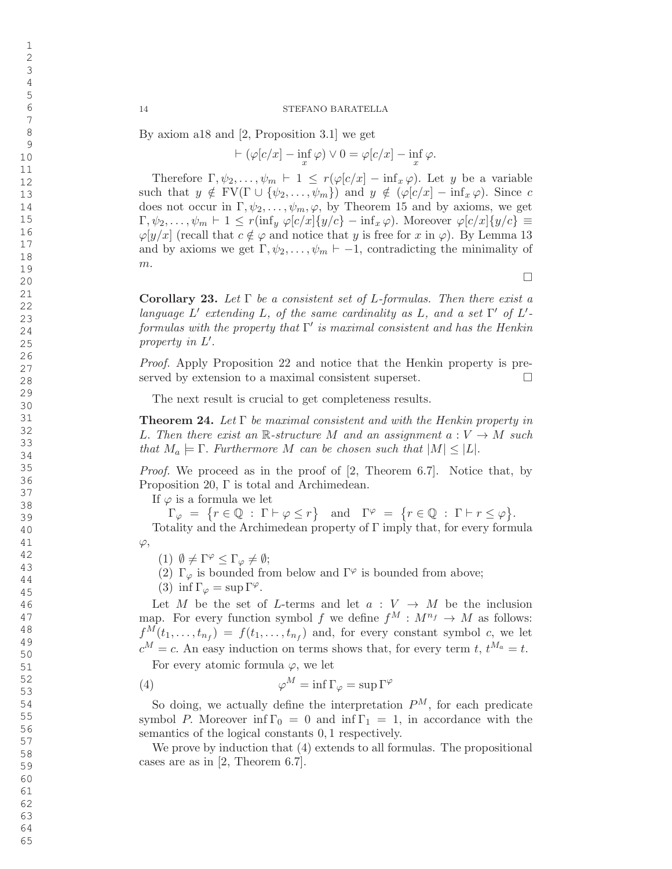By axiom a18 and [2, Proposition 3.1] we get

 $\vdash (\varphi[c/x] - \inf_{x} \varphi) \vee 0 = \varphi[c/x] - \inf_{x} \varphi.$ 

Therefore  $\Gamma, \psi_2, \ldots, \psi_m \vdash 1 \leq r(\varphi[c/x] - \inf_x \varphi)$ . Let y be a variable such that  $y \notin FV(\Gamma \cup {\psi_2, \ldots, \psi_m})$  and  $y \notin (\varphi[c/x] - \inf_x \varphi)$ . Since c does not occur in  $\Gamma, \psi_2, \ldots, \psi_m, \varphi$ , by Theorem 15 and by axioms, we get  $\Gamma, \psi_2, \ldots, \psi_m \vdash 1 \leq r(\inf_y \varphi[c/x] \{y/c\} - \inf_x \varphi)$ . Moreover  $\varphi[c/x] \{y/c\} \equiv$  $\varphi[y/x]$  (recall that  $c \notin \varphi$  and notice that y is free for x in  $\varphi$ ). By Lemma 13 and by axioms we get  $\Gamma, \psi_2, \dots, \psi_m \vdash -1$ , contradicting the minimality of  $m.$ 

**Corollary 23.** Let  $\Gamma$  be a consistent set of L-formulas. Then there exist a language  $L'$  extending  $L$ , of the same cardinality as  $L$ , and a set  $\Gamma'$  of  $L'$  $formulas$  with the property that  $\Gamma'$  is maximal consistent and has the Henkin property in  $L'$ .

Proof. Apply Proposition 22 and notice that the Henkin property is preserved by extension to a maximal consistent superset.  $\Box$ 

The next result is crucial to get completeness results.

**Theorem 24.** Let  $\Gamma$  be maximal consistent and with the Henkin property in L. Then there exist an  $\mathbb{R}$ -structure M and an assignment  $a: V \to M$  such that  $M_a \models \Gamma$ . Furthermore M can be chosen such that  $|M| \leq |L|$ .

Proof. We proceed as in the proof of [2, Theorem 6.7]. Notice that, by Proposition 20, Γ is total and Archimedean.

If  $\varphi$  is a formula we let

 $\Gamma_{\varphi} = \{r \in \mathbb{Q} : \Gamma \vdash \varphi \le r\} \text{ and } \Gamma^{\varphi} = \{r \in \mathbb{Q} : \Gamma \vdash r \le \varphi\}.$ 

Totality and the Archimedean property of Γ imply that, for every formula  $\varphi,$ 

(1)  $\emptyset \neq \Gamma^{\varphi} \leq \Gamma_{\varphi} \neq \emptyset;$ 

(2)  $\Gamma_{\varphi}$  is bounded from below and  $\Gamma^{\varphi}$  is bounded from above;

(3) inf  $\Gamma_{\varphi} = \sup \Gamma^{\varphi}$ .

Let M be the set of L-terms and let  $a: V \to M$  be the inclusion map. For every function symbol f we define  $f^M: M^{n_f} \to M$  as follows:  $f^M(t_1,\ldots,t_{n_f}) = f(t_1,\ldots,t_{n_f})$  and, for every constant symbol c, we let  $c^M = c$ . An easy induction on terms shows that, for every term t,  $t^{M_a} = t$ .

For every atomic formula  $\varphi$ , we let

(4) 
$$
\varphi^M = \inf \Gamma_{\varphi} = \sup \Gamma^{\varphi}
$$

So doing, we actually define the interpretation  $P^M$ , for each predicate symbol P. Moreover  $\inf \Gamma_0 = 0$  and  $\inf \Gamma_1 = 1$ , in accordance with the semantics of the logical constants 0 , 1 respectively.

We prove by induction that (4) extends to all formulas. The propositional cases are as in [2, Theorem 6.7].

 $\Box$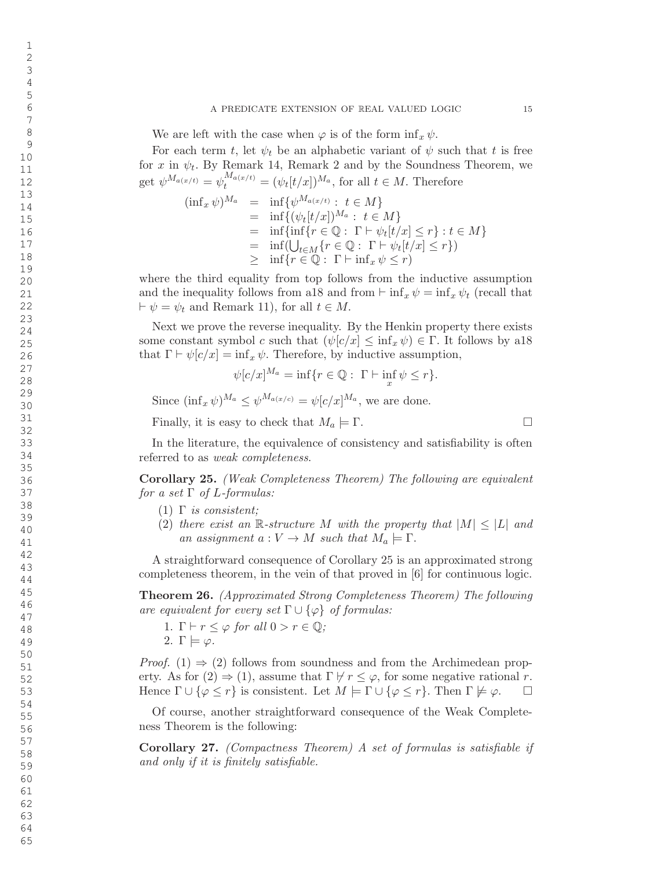We are left with the case when  $\varphi$  is of the form  $\inf_x \psi$ .

For each term t, let  $\psi_t$  be an alphabetic variant of  $\psi$  such that t is free for x in  $\psi_t$ . By Remark 14, Remark 2 and by the Soundness Theorem, we get  $\psi^{M_{a(x/t)}} = \psi_t^{M_{a(x/t)}} = (\psi_t[t/x])^{M_a}$ , for all  $t \in M$ . Therefore

$$
(\inf_x \psi)^{M_a} = \inf \{ \psi^{M_{a(x/t)}} : t \in M \}
$$
  
\n
$$
= \inf \{ (\psi_t[t/x])^{M_a} : t \in M \}
$$
  
\n
$$
= \inf \{ \inf \{ r \in \mathbb{Q} : \Gamma \vdash \psi_t[t/x] \le r \} : t \in M \}
$$
  
\n
$$
= \inf (\bigcup_{t \in M} \{ r \in \mathbb{Q} : \Gamma \vdash \psi_t[t/x] \le r \})
$$
  
\n
$$
\ge \inf \{ r \in \mathbb{Q} : \Gamma \vdash \inf_x \psi \le r \}
$$

where the third equality from top follows from the inductive assumption and the inequality follows from a18 and from  $\vdash \inf_x \psi = \inf_x \psi_t$  (recall that  $\vdash \psi = \psi_t$  and Remark 11), for all  $t \in M$ .

Next we prove the reverse inequality. By the Henkin property there exists some constant symbol c such that  $(\psi[c/x] \leq \inf_x \psi) \in \Gamma$ . It follows by a18 that  $\Gamma \vdash \psi[c/x] = \inf_x \psi$ . Therefore, by inductive assumption,

$$
\psi[c/x]^{M_a} = \inf\{r \in \mathbb{Q} : \Gamma \vdash \inf_x \psi \le r\}.
$$

Since  $(\inf_x \psi)^{M_a} \leq \psi^{M_{a(x/c)}} = \psi[c/x]^{M_a}$ , we are done.

Finally, it is easy to check that  $M_a \models \Gamma$ .

In the literature, the equivalence of consistency and satisfiability is often referred to as *weak completeness*.

Corollary 25. (Weak Completeness Theorem) The following are equivalent for a set  $\Gamma$  of L-formulas:

- $(1)$  Γ is consistent;
- (2) there exist an R-structure M with the property that  $|M| \leq |L|$  and an assignment  $a: V \to M$  such that  $M_a \models \Gamma$ .

A straightforward consequence of Corollary 25 is an approximated strong completeness theorem, in the vein of that proved in [6] for continuous logic.

Theorem 26. (Approximated Strong Completeness Theorem) The following are equivalent for every set  $\Gamma \cup \{\varphi\}$  of formulas:

1.  $\Gamma \vdash r \leq \varphi$  for all  $0 > r \in \mathbb{Q}$ ; 2.  $\Gamma \models \varphi$ .

*Proof.* (1)  $\Rightarrow$  (2) follows from soundness and from the Archimedean property. As for  $(2) \Rightarrow (1)$ , assume that  $\Gamma \not\vdash r \leq \varphi$ , for some negative rational r. Hence  $\Gamma \cup \{\varphi \leq r\}$  is consistent. Let  $M \models \Gamma \cup \{\varphi \leq r\}$ . Then  $\Gamma \not\models \varphi$ . !

Of course, another straightforward consequence of the Weak Completeness Theorem is the following:

Corollary 27. (Compactness Theorem) A set of formulas is satisfiable if and only if it is finitely satisfiable.

 $\Box$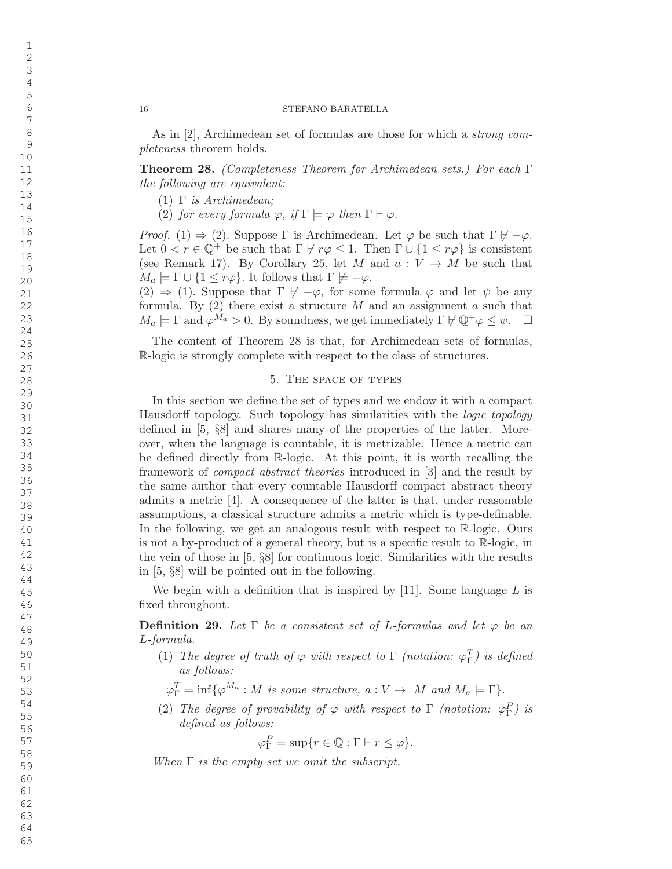As in [2], Archimedean set of formulas are those for which a strong completeness theorem holds.

Theorem 28. (Completeness Theorem for Archimedean sets.) For each Γ the following are equivalent:

- (1) Γ is Archimedean;
- (2) for every formula  $\varphi$ , if  $\Gamma \models \varphi$  then  $\Gamma \vdash \varphi$ .

*Proof.* (1)  $\Rightarrow$  (2). Suppose  $\Gamma$  is Archimedean. Let  $\varphi$  be such that  $\Gamma \not\vdash -\varphi$ . Let  $0 < r \in \mathbb{Q}^+$  be such that  $\Gamma \not\vdash r\varphi \leq 1$ . Then  $\Gamma \cup \{1 \leq r\varphi\}$  is consistent (see Remark 17). By Corollary 25, let M and  $a: V \to M$  be such that  $M_a \models \Gamma \cup \{1 \leq r\varphi\}$ . It follows that  $\Gamma \not\models -\varphi$ .

 $(2) \Rightarrow (1)$ . Suppose that  $\Gamma \not\vdash -\varphi$ , for some formula  $\varphi$  and let  $\psi$  be any formula. By  $(2)$  there exist a structure M and an assignment a such that  $M_a \models \Gamma$  and  $\varphi^{M_a} > 0$ . By soundness, we get immediately  $\Gamma \not\vdash \mathbb{Q}^+ \varphi \leq \psi$ .  $\Box$ 

The content of Theorem 28 is that, for Archimedean sets of formulas, R-logic is strongly complete with respect to the class of structures.

## 5. The space of types

In this section we define the set of types and we endow it with a compact Hausdorff topology. Such topology has similarities with the *logic topology* defined in [5, §8] and shares many of the properties of the latter. Moreover, when the language is countable, it is metrizable. Hence a metric can be defined directly from R-logic. At this point, it is worth recalling the framework of compact abstract theories introduced in [3] and the result by the same author that every countable Hausdor ff compact abstract theory admits a metric [4]. A consequence of the latter is that, under reasonable assumptions, a classical structure admits a metric which is type-definable. In the following, we get an analogous result with respect to R-logic. Ours is not a by-product of a general theory, but is a specific result to R-logic, in the vein of those in [5, §8] for continuous logic. Similarities with the results in [5, §8] will be pointed out in the following.

We begin with a definition that is inspired by  $[11]$ . Some language L is fixed throughout.

**Definition 29.** Let  $\Gamma$  be a consistent set of L-formulas and let  $\varphi$  be an L-formula.

(1) The degree of truth of  $\varphi$  with respect to  $\Gamma$  (notation:  $\varphi_{\Gamma}^{T}$ ) is defined as follows:

 $\varphi_{\Gamma}^T = \inf \{ \varphi^{M_a} : M \text{ is some structure, } a : V \to M \text{ and } M_a \models \Gamma \}.$ 

(2) The degree of provability of  $\varphi$  with respect to  $\Gamma$  (notation:  $\varphi_{\Gamma}^{P}$ ) is defined as follows:

 $\varphi_{\Gamma}^{P} = \sup \{ r \in \mathbb{Q} : \Gamma \vdash r \leq \varphi \}.$ 

When  $\Gamma$  is the empty set we omit the subscript.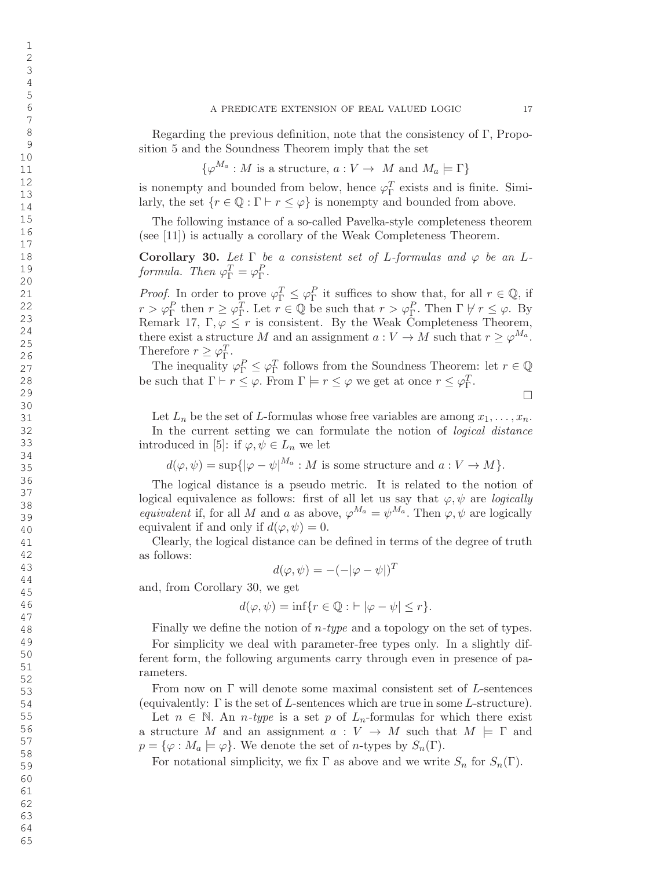Regarding the previous definition, note that the consistency of Γ , Proposition 5 and the Soundness Theorem imply that the set

 $\{\varphi^{M_a}: M \text{ is a structure, } a: V \to M \text{ and } M_a \models \Gamma\}$ 

is nonempty and bounded from below, hence  $\varphi_{\Gamma}^{T}$  exists and is finite. Similarly, the set  $\{r \in \mathbb{Q} : \Gamma \vdash r \leq \varphi\}$  is nonempty and bounded from above.

The following instance of a so-called Pavelka-style completeness theorem (see [11]) is actually a corollary of the Weak Completeness Theorem.

Corollary 30. Let  $\Gamma$  be a consistent set of L-formulas and  $\varphi$  be an Lformula. Then  $\varphi_{\Gamma}^T = \varphi_{\Gamma}^P$ .

*Proof.* In order to prove  $\varphi_{\Gamma}^T \leq \varphi_{\Gamma}^P$  it suffices to show that, for all  $r \in \mathbb{Q}$ , if  $r > \varphi_{\Gamma}^P$  then  $r \geq \varphi_{\Gamma}^T$ . Let  $r \in \mathbb{Q}$  be such that  $r > \varphi_{\Gamma}^P$ . Then  $\Gamma \not\vdash r \leq \varphi$ . By Remark 17,  $\Gamma, \varphi \leq r$  is consistent. By the Weak Completeness Theorem, there exist a structure M and an assignment  $a: V \to M$  such that  $r \geq \varphi^{M_a}$ . Therefore  $r \geq \varphi_{\Gamma}^T$ .

The inequality  $\varphi_{\Gamma}^P \leq \varphi_{\Gamma}^T$  follows from the Soundness Theorem: let  $r \in \mathbb{Q}$ be such that  $\Gamma \vdash r \leq \varphi$ . From  $\Gamma \models r \leq \varphi$  we get at once  $r \leq \varphi_{\Gamma}^T$ .

$$
\Box
$$

Let  $L_n$  be the set of L-formulas whose free variables are among  $x_1, \ldots, x_n$ . In the current setting we can formulate the notion of *logical distance* introduced in [5]: if  $\varphi, \psi \in L_n$  we let

$$
d(\varphi, \psi) = \sup\{|\varphi - \psi|^{M_a} : M \text{ is some structure and } a : V \to M\}.
$$

The logical distance is a pseudo metric. It is related to the notion of logical equivalence as follows: first of all let us say that  $\varphi, \psi$  are *logically* equivalent if, for all M and a as above,  $\varphi^{M_a} = \psi^{M_a}$ . Then  $\varphi, \psi$  are logically equivalent if and only if  $d(\varphi, \psi) = 0$ .

Clearly, the logical distance can be defined in terms of the degree of truth as follows:

$$
d(\varphi, \psi) = -(-|\varphi - \psi|)^T
$$

and, from Corollary 30, we get

 $d(\varphi, \psi) = \inf \{ r \in \mathbb{Q} : \vdash |\varphi - \psi| \leq r \}.$ 

Finally we define the notion of  $n$ -type and a topology on the set of types.

For simplicity we deal with parameter-free types only. In a slightly different form, the following arguments carry through even in presence of parameters.

From now on Γ will denote some maximal consistent set of L-sentences (equivalently:  $\Gamma$  is the set of *L*-sentences which are true in some *L*-structure).

Let  $n \in \mathbb{N}$ . An *n*-type is a set p of  $L_n$ -formulas for which there exist a structure M and an assignment  $a: V \to M$  such that  $M \models \Gamma$  and  $p = \{\varphi : M_a \models \varphi\}.$  We denote the set of *n*-types by  $S_n(\Gamma)$ .

For notational simplicity, we fix  $\Gamma$  as above and we write  $S_n$  for  $S_n(\Gamma)$ .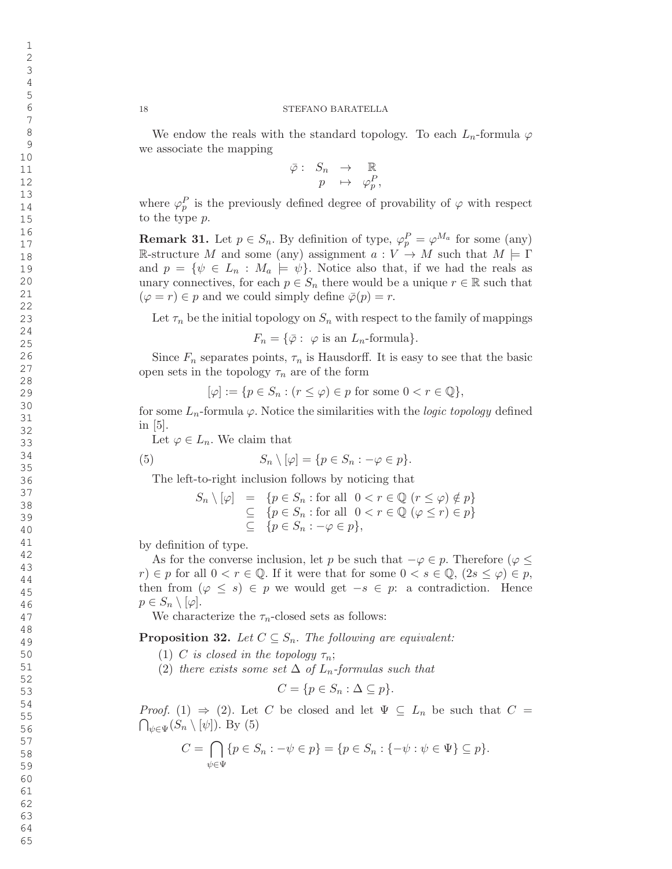We endow the reals with the standard topology. To each  $L_n$ -formula  $\varphi$ we associate the mapping

$$
\begin{array}{rcl} \bar{\varphi} :& S_n & \rightarrow & \mathbb{R} \\ & p & \mapsto & \varphi_p^P \end{array}
$$

,

where  $\varphi_p^P$  is the previously defined degree of provability of  $\varphi$  with respect to the type p.

**Remark 31.** Let  $p \in S_n$ . By definition of type,  $\varphi_p^P = \varphi^{M_a}$  for some (any) R-structure M and some (any) assignment  $a: V \to M$  such that  $M \models \Gamma$ and  $p = \{\psi \in L_n : M_a \models \psi\}.$  Notice also that, if we had the reals as unary connectives, for each  $p \in S_n$  there would be a unique  $r \in \mathbb{R}$  such that  $(\varphi = r) \in p$  and we could simply define  $\bar{\varphi}(p) = r$ .

Let  $\tau_n$  be the initial topology on  $S_n$  with respect to the family of mappings

 $F_n = \{\overline{\varphi} : \varphi \text{ is an } L_n\text{-formula}\}.$ 

Since  $F_n$  separates points,  $\tau_n$  is Hausdorff. It is easy to see that the basic open sets in the topology  $\tau_n$  are of the form

$$
[\varphi] := \{ p \in S_n : (r \le \varphi) \in p \text{ for some } 0 < r \in \mathbb{Q} \},
$$

for some  $L_n$ -formula  $\varphi$ . Notice the similarities with the *logic topology* defined in [5].

Let  $\varphi \in L_n$ . We claim that

(5) 
$$
S_n \setminus [\varphi] = \{ p \in S_n : -\varphi \in p \}.
$$

The left-to-right inclusion follows by noticing that

$$
S_n \setminus [\varphi] = \{ p \in S_n : \text{for all } 0 < r \in \mathbb{Q} \ (r \leq \varphi) \notin p \} \\
\subseteq \{ p \in S_n : \text{for all } 0 < r \in \mathbb{Q} \ (\varphi \leq r) \in p \} \\
\subseteq \{ p \in S_n : -\varphi \in p \},
$$

by definition of type.

As for the converse inclusion, let p be such that  $-\varphi \in p$ . Therefore  $(\varphi \leq$  $r \in [r]$  for all  $0 < r \in \mathbb{Q}$ . If it were that for some  $0 < s \in \mathbb{Q}$ ,  $(2s \leq \varphi) \in p$ , then from  $(\varphi \leq s) \in p$  we would get  $-s \in p$ : a contradiction. Hence  $p\in S_n\setminus[\varphi].$ 

We characterize the  $\tau_n$ -closed sets as follows:

**Proposition 32.** Let  $C \subseteq S_n$ . The following are equivalent:

- (1) C is closed in the topology  $\tau_n$ ;
- (2) there exists some set  $\Delta$  of  $L_n$ -formulas such that

$$
C = \{ p \in S_n : \Delta \subseteq p \}.
$$

*Proof.* (1)  $\Rightarrow$  (2). Let C be closed and let  $\Psi \subseteq L_n$  be such that  $C =$  $\bigcap_{\psi \in \Psi} (S_n \setminus [\psi])$ . By (5)

$$
C = \bigcap_{\psi \in \Psi} \{ p \in S_n : -\psi \in p \} = \{ p \in S_n : \{ -\psi : \psi \in \Psi \} \subseteq p \}.
$$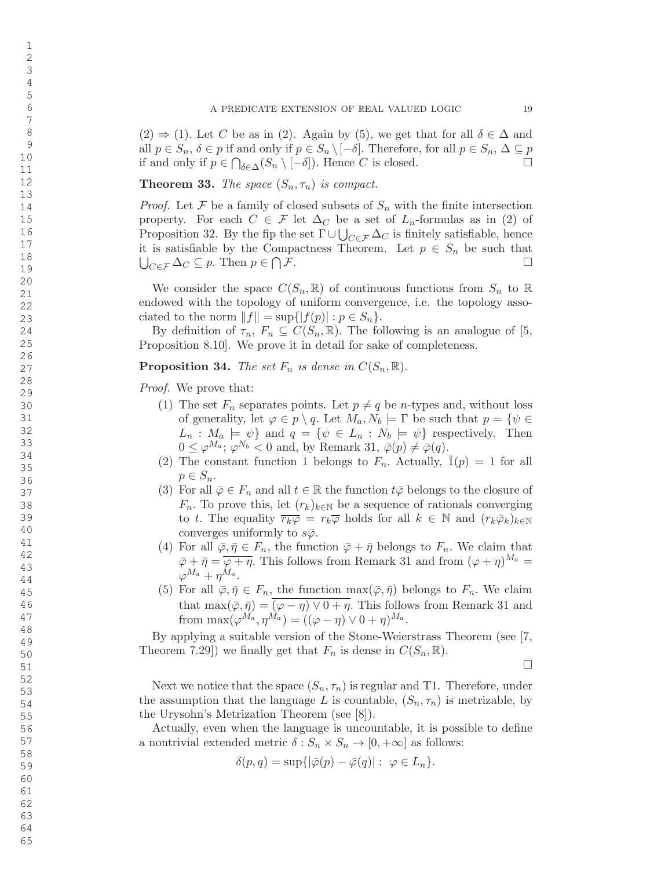$(2) \Rightarrow (1)$ . Let C be as in (2). Again by (5), we get that for all  $\delta \in \Delta$  and all  $p \in S_n$ ,  $\delta \in p$  if and only if  $p \in S_n \setminus [-\delta]$ . Therefore, for all  $p \in S_n$ ,  $\Delta \subseteq p$ if and only if  $p \in \bigcap_{\delta \in \Delta} (S_n \setminus [-\delta])$ . Hence C is closed.  $\Box$ 

**Theorem 33.** The space  $(S_n, \tau_n)$  is compact.

*Proof.* Let  $\mathcal F$  be a family of closed subsets of  $S_n$  with the finite intersection property. For each  $C \in \mathcal{F}$  let  $\Delta_C$  be a set of  $L_n$ -formulas as in (2) of Proposition 32. By the fip the set  $\Gamma \cup \bigcup_{C \in \mathcal{F}} \Delta_C$  is finitely satisfiable, hence it is satisfiable by the Compactness Theorem. Let  $p \in S_n$  be such that  $\bigcup_{C \in \mathcal{F}} \Delta_C \subseteq p$ . Then  $p \in \bigcap \mathcal{F}$ .  $\Box$ 

We consider the space  $C(S_n, \mathbb{R})$  of continuous functions from  $S_n$  to  $\mathbb{R}$ endowed with the topology of uniform convergence, i.e. the topology associated to the norm  $||f|| = \sup\{|f(p)| : p \in S_n\}.$ 

By definition of  $\tau_n$ ,  $F_n \subseteq C(S_n, \mathbb{R})$ . The following is an analogue of [5, Proposition 8.10]. We prove it in detail for sake of completeness.

**Proposition 34.** The set  $F_n$  is dense in  $C(S_n, \mathbb{R})$ .

Proof. We prove that:

- (1) The set  $F_n$  separates points. Let  $p \neq q$  be *n*-types and, without loss of generality, let  $\varphi \in p \setminus q$ . Let  $M_a, N_b \models \Gamma$  be such that  $p = \{ \psi \in \Gamma \mid \exists \varphi \in \Gamma \}$  $L_n: M_a \models \psi$  and  $q = \{ \psi \in L_n : N_b \models \psi \}$  respectively. Then  $0 \leq \varphi^{M_a}; \varphi^{N_b} < 0$  and, by Remark 31,  $\bar{\varphi}(p) \neq \bar{\varphi}(q)$ .
- (2) The constant function 1 belongs to  $F_n$ . Actually,  $\bar{1}(p) = 1$  for all  $p \in S_n$ .
- (3) For all  $\bar{\varphi} \in F_n$  and all  $t \in \mathbb{R}$  the function  $t\bar{\varphi}$  belongs to the closure of  $F_n$ . To prove this, let  $(r_k)_{k\in\mathbb{N}}$  be a sequence of rationals converging to t. The equality  $\overline{r_k \varphi} = r_k \overline{\varphi}$  holds for all  $k \in \mathbb{N}$  and  $(r_k \overline{\varphi}_k)_{k \in \mathbb{N}}$ converges uniformly to  $s\bar{\varphi}$ .
- (4) For all  $\bar{\varphi}, \bar{\eta} \in F_n$ , the function  $\bar{\varphi} + \bar{\eta}$  belongs to  $F_n$ . We claim that  $\bar{\varphi} + \bar{\eta} = \overline{\varphi + \eta}$ . This follows from Remark 31 and from  $(\varphi + \eta)^{M_a} =$  $\varphi^{M_a} + \eta^{M_a}.$
- (5) For all  $\bar{\varphi}, \bar{\eta} \in F_n$ , the function  $\max(\bar{\varphi}, \bar{\eta})$  belongs to  $F_n$ . We claim that  $\max(\bar{\varphi}, \bar{\eta}) = (\varphi - \eta) \vee 0 + \eta$ . This follows from Remark 31 and from  $\max(\varphi^{M_a}, \eta^{M_a}) = ((\varphi - \eta) \vee 0 + \eta)^{M_a}.$

By applying a suitable version of the Stone-Weierstrass Theorem (see [7, Theorem 7.29]) we finally get that  $F_n$  is dense in  $C(S_n, \mathbb{R})$ .

 $\Box$ 

Next we notice that the space  $(S_n, \tau_n)$  is regular and T1. Therefore, under the assumption that the language L is countable,  $(S_n, \tau_n)$  is metrizable, by the Urysohn's Metrization Theorem (see [8]).

Actually, even when the language is uncountable, it is possible to define a nontrivial extended metric  $\delta: S_n \times S_n \to [0, +\infty]$  as follows:

$$
\delta(p,q) = \sup\{|\bar{\varphi}(p) - \bar{\varphi}(q)| : \ \varphi \in L_n\}.
$$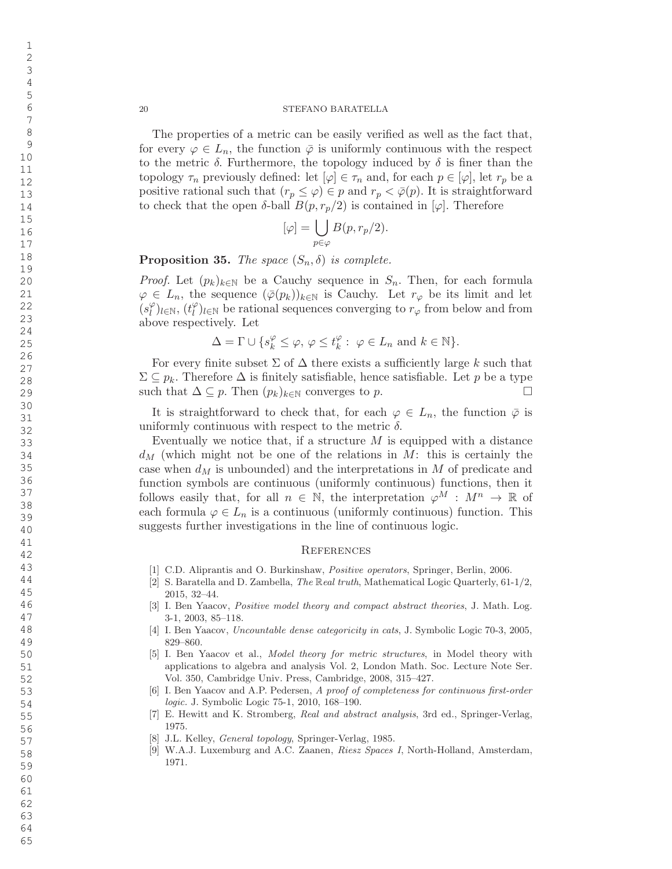The properties of a metric can be easily verified as well as the fact that, for every  $\varphi \in L_n$ , the function  $\overline{\varphi}$  is uniformly continuous with the respect to the metric  $\delta$ . Furthermore, the topology induced by  $\delta$  is finer than the topology  $\tau_n$  previously defined: let  $[\varphi] \in \tau_n$  and, for each  $p \in [\varphi]$ , let  $r_p$  be a positive rational such that  $(r_p \leq \varphi) \in p$  and  $r_p < \bar{\varphi}(p)$ . It is straightforward to check that the open  $\delta$ -ball  $B(p, r_p/2)$  is contained in  $[\varphi]$ . Therefore

$$
[\varphi] = \bigcup_{p \in \varphi} B(p, r_p/2).
$$

**Proposition 35.** The space  $(S_n, \delta)$  is complete.

*Proof.* Let  $(p_k)_{k \in \mathbb{N}}$  be a Cauchy sequence in  $S_n$ . Then, for each formula  $\varphi \in L_n$ , the sequence  $(\bar{\varphi}(p_k))_{k \in \mathbb{N}}$  is Cauchy. Let  $r_\varphi$  be its limit and let  $(s_i^\varphi)$  $\binom{\varphi}{l}$ <sub>l $\in \mathbb{N}$ ,  $(t_l^{\varphi})$ </sub>  $\ell^{\varphi}_{l}$  be rational sequences converging to  $r_{\varphi}$  from below and from above respectively. Let

$$
\Delta = \Gamma \cup \{ s_k^\varphi \leq \varphi,\, \varphi \leq t_k^\varphi:\,\, \varphi \in L_n \,\, \text{and} \,\, k \in \mathbb{N}\}.
$$

For every finite subset  $\Sigma$  of  $\Delta$  there exists a sufficiently large k such that  $\Sigma \subseteq p_k$ . Therefore  $\Delta$  is finitely satisfiable, hence satisfiable. Let p be a type such that  $\Delta \subseteq p$ . Then  $(p_k)_{k \in \mathbb{N}}$  converges to p.  $\Box$ 

It is straightforward to check that, for each  $\varphi \in L_n$ , the function  $\bar{\varphi}$  is uniformly continuous with respect to the metric  $\delta$ .

Eventually we notice that, if a structure  $M$  is equipped with a distance  $d_M$  (which might not be one of the relations in M: this is certainly the case when  $d_M$  is unbounded) and the interpretations in M of predicate and function symbols are continuous (uniformly continuous) functions, then it follows easily that, for all  $n \in \mathbb{N}$ , the interpretation  $\varphi^M : M^n \to \mathbb{R}$  of each formula  $\varphi \in L_n$  is a continuous (uniformly continuous) function. This suggests further investigations in the line of continuous logic.

## **REFERENCES**

- [1] C.D. Aliprantis and O. Burkinshaw, Positive operators, Springer, Berlin, 2006.
- [2] S. Baratella and D. Zambella, *The Real truth*, Mathematical Logic Quarterly,  $61-1/2$ , 2015, 32–44.
- [3] I. Ben Yaacov, *Positive model theory and compact abstract theories*, J. Math. Log. 3-1, 2003, 85–118.
- [4] I. Ben Yaacov, Uncountable dense categoricity in cats, J. Symbolic Logic 70-3, 2005, 829–860.
- [5] I. Ben Yaacov et al., Model theory for metric structures, in Model theory with applications to algebra and analysis Vol. 2, London Math. Soc. Lecture Note Ser. Vol. 350, Cambridge Univ. Press, Cambridge, 2008, 315–427.
- [6] I. Ben Yaacov and A.P. Pedersen, A proof of completeness for continuous first-order logic. J. Symbolic Logic 75-1, 2010, 168–190.
- [7] E. Hewitt and K. Stromberg, Real and abstract analysis, 3rd ed., Springer-Verlag, 1975.
- [8] J.L. Kelley, General topology, Springer-Verlag, 1985.
- [9] W.A.J. Luxemburg and A.C. Zaanen, Riesz Spaces I, North-Holland, Amsterdam, 1971.